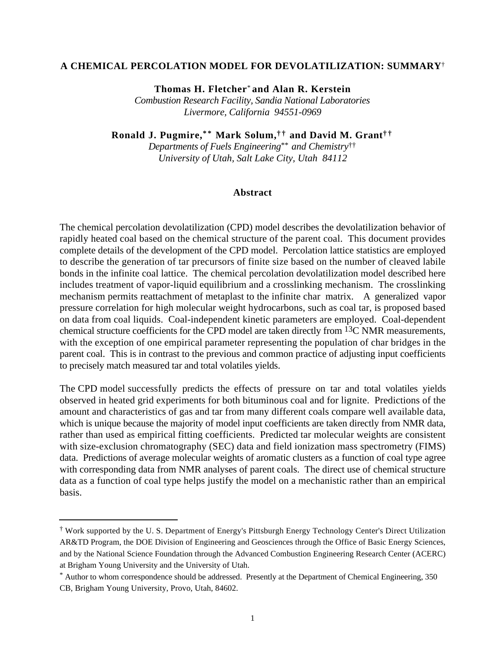#### **A CHEMICAL PERCOLATION MODEL FOR DEVOLATILIZATION: SUMMARY**†

**Thomas H. Fletcher**\* **and Alan R. Kerstein**

*Combustion Research Facility, Sandia National Laboratories Livermore, California 94551-0969*

**Ronald J. Pugmire,\* \* Mark Solum,† † and David M. Grant† †**

*Departments of Fuels Engineering*\*\* *and Chemistry*†† *University of Utah, Salt Lake City, Utah 84112*

#### **Abstract**

The chemical percolation devolatilization (CPD) model describes the devolatilization behavior of rapidly heated coal based on the chemical structure of the parent coal. This document provides complete details of the development of the CPD model. Percolation lattice statistics are employed to describe the generation of tar precursors of finite size based on the number of cleaved labile bonds in the infinite coal lattice. The chemical percolation devolatilization model described here includes treatment of vapor-liquid equilibrium and a crosslinking mechanism. The crosslinking mechanism permits reattachment of metaplast to the infinite char matrix. A generalized vapor pressure correlation for high molecular weight hydrocarbons, such as coal tar, is proposed based on data from coal liquids. Coal-independent kinetic parameters are employed. Coal-dependent chemical structure coefficients for the CPD model are taken directly from  $^{13}$ C NMR measurements, with the exception of one empirical parameter representing the population of char bridges in the parent coal. This is in contrast to the previous and common practice of adjusting input coefficients to precisely match measured tar and total volatiles yields.

The CPD model successfully predicts the effects of pressure on tar and total volatiles yields observed in heated grid experiments for both bituminous coal and for lignite. Predictions of the amount and characteristics of gas and tar from many different coals compare well available data, which is unique because the majority of model input coefficients are taken directly from NMR data, rather than used as empirical fitting coefficients. Predicted tar molecular weights are consistent with size-exclusion chromatography (SEC) data and field ionization mass spectrometry (FIMS) data. Predictions of average molecular weights of aromatic clusters as a function of coal type agree with corresponding data from NMR analyses of parent coals. The direct use of chemical structure data as a function of coal type helps justify the model on a mechanistic rather than an empirical basis.

l

<sup>†</sup> Work supported by the U. S. Department of Energy's Pittsburgh Energy Technology Center's Direct Utilization AR&TD Program, the DOE Division of Engineering and Geosciences through the Office of Basic Energy Sciences, and by the National Science Foundation through the Advanced Combustion Engineering Research Center (ACERC) at Brigham Young University and the University of Utah.

<sup>\*</sup> Author to whom correspondence should be addressed. Presently at the Department of Chemical Engineering, 350 CB, Brigham Young University, Provo, Utah, 84602.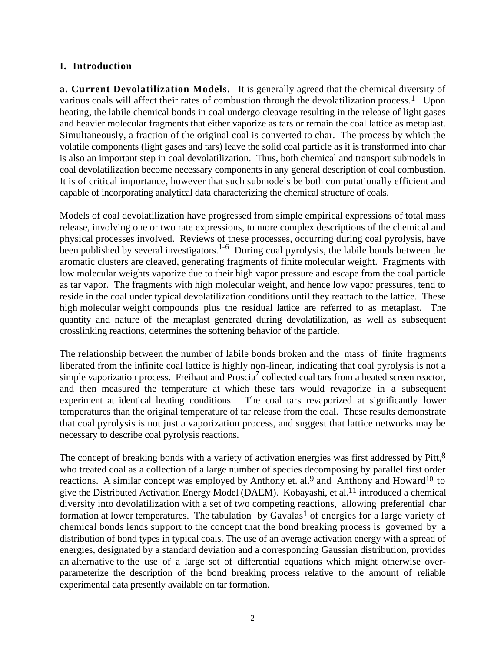## **I. Introduction**

**a. Current Devolatilization Models.** It is generally agreed that the chemical diversity of various coals will affect their rates of combustion through the devolatilization process.<sup>1</sup> Upon heating, the labile chemical bonds in coal undergo cleavage resulting in the release of light gases and heavier molecular fragments that either vaporize as tars or remain the coal lattice as metaplast. Simultaneously, a fraction of the original coal is converted to char. The process by which the volatile components (light gases and tars) leave the solid coal particle as it is transformed into char is also an important step in coal devolatilization. Thus, both chemical and transport submodels in coal devolatilization become necessary components in any general description of coal combustion. It is of critical importance, however that such submodels be both computationally efficient and capable of incorporating analytical data characterizing the chemical structure of coals.

Models of coal devolatilization have progressed from simple empirical expressions of total mass release, involving one or two rate expressions, to more complex descriptions of the chemical and physical processes involved. Reviews of these processes, occurring during coal pyrolysis, have been published by several investigators.<sup>1-6</sup> During coal pyrolysis, the labile bonds between the aromatic clusters are cleaved, generating fragments of finite molecular weight. Fragments with low molecular weights vaporize due to their high vapor pressure and escape from the coal particle as tar vapor. The fragments with high molecular weight, and hence low vapor pressures, tend to reside in the coal under typical devolatilization conditions until they reattach to the lattice. These high molecular weight compounds plus the residual lattice are referred to as metaplast. The quantity and nature of the metaplast generated during devolatilization, as well as subsequent crosslinking reactions, determines the softening behavior of the particle.

The relationship between the number of labile bonds broken and the mass of finite fragments liberated from the infinite coal lattice is highly non-linear, indicating that coal pyrolysis is not a simple vaporization process. Freihaut and Proscia<sup>7</sup> collected coal tars from a heated screen reactor, and then measured the temperature at which these tars would revaporize in a subsequent experiment at identical heating conditions. The coal tars revaporized at significantly lower temperatures than the original temperature of tar release from the coal. These results demonstrate that coal pyrolysis is not just a vaporization process, and suggest that lattice networks may be necessary to describe coal pyrolysis reactions.

The concept of breaking bonds with a variety of activation energies was first addressed by Pitt,<sup>8</sup> who treated coal as a collection of a large number of species decomposing by parallel first order reactions. A similar concept was employed by Anthony et. al.<sup>9</sup> and Anthony and Howard<sup>10</sup> to give the Distributed Activation Energy Model (DAEM). Kobayashi, et al.11 introduced a chemical diversity into devolatilization with a set of two competing reactions, allowing preferential char formation at lower temperatures. The tabulation by Gavalas<sup>1</sup> of energies for a large variety of chemical bonds lends support to the concept that the bond breaking process is governed by a distribution of bond types in typical coals. The use of an average activation energy with a spread of energies, designated by a standard deviation and a corresponding Gaussian distribution, provides an alternative to the use of a large set of differential equations which might otherwise overparameterize the description of the bond breaking process relative to the amount of reliable experimental data presently available on tar formation.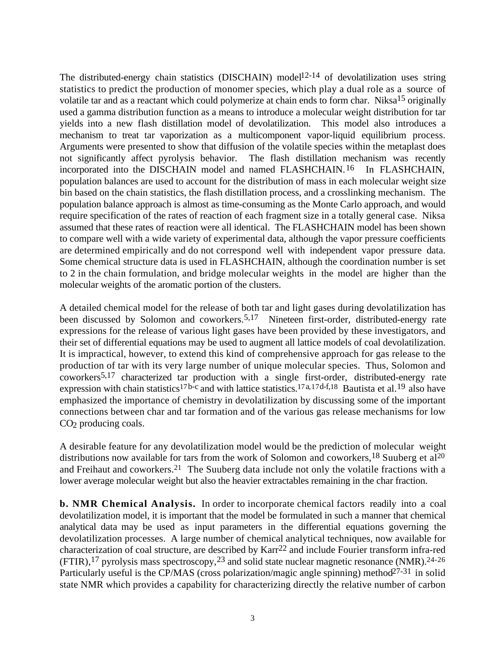The distributed-energy chain statistics (DISCHAIN) model<sup>12-14</sup> of devolatilization uses string statistics to predict the production of monomer species, which play a dual role as a source of volatile tar and as a reactant which could polymerize at chain ends to form char. Niksa<sup>15</sup> originally used a gamma distribution function as a means to introduce a molecular weight distribution for tar yields into a new flash distillation model of devolatilization. This model also introduces a mechanism to treat tar vaporization as a multicomponent vapor-liquid equilibrium process. Arguments were presented to show that diffusion of the volatile species within the metaplast does not significantly affect pyrolysis behavior. The flash distillation mechanism was recently incorporated into the DISCHAIN model and named FLASHCHAIN.<sup>16</sup> In FLASHCHAIN, population balances are used to account for the distribution of mass in each molecular weight size bin based on the chain statistics, the flash distillation process, and a crosslinking mechanism. The population balance approach is almost as time-consuming as the Monte Carlo approach, and would require specification of the rates of reaction of each fragment size in a totally general case. Niksa assumed that these rates of reaction were all identical. The FLASHCHAIN model has been shown to compare well with a wide variety of experimental data, although the vapor pressure coefficients are determined empirically and do not correspond well with independent vapor pressure data. Some chemical structure data is used in FLASHCHAIN, although the coordination number is set to 2 in the chain formulation, and bridge molecular weights in the model are higher than the molecular weights of the aromatic portion of the clusters.

A detailed chemical model for the release of both tar and light gases during devolatilization has been discussed by Solomon and coworkers.<sup>5,17</sup> Nineteen first-order, distributed-energy rate expressions for the release of various light gases have been provided by these investigators, and their set of differential equations may be used to augment all lattice models of coal devolatilization. It is impractical, however, to extend this kind of comprehensive approach for gas release to the production of tar with its very large number of unique molecular species. Thus, Solomon and coworkers5,17 characterized tar production with a single first-order, distributed-energy rate expression with chain statistics<sup>17b-c</sup> and with lattice statistics.<sup>17a,17d-f,18</sup> Bautista et al.<sup>19</sup> also have emphasized the importance of chemistry in devolatilization by discussing some of the important connections between char and tar formation and of the various gas release mechanisms for low  $CO<sub>2</sub>$  producing coals.

A desirable feature for any devolatilization model would be the prediction of molecular weight distributions now available for tars from the work of Solomon and coworkers,<sup>18</sup> Suuberg et al<sup>20</sup> and Freihaut and coworkers.21 The Suuberg data include not only the volatile fractions with a lower average molecular weight but also the heavier extractables remaining in the char fraction.

**b. NMR Chemical Analysis.** In order to incorporate chemical factors readily into a coal devolatilization model, it is important that the model be formulated in such a manner that chemical analytical data may be used as input parameters in the differential equations governing the devolatilization processes. A large number of chemical analytical techniques, now available for characterization of coal structure, are described by Karr22 and include Fourier transform infra-red  $(FTIR)$ , <sup>17</sup> pyrolysis mass spectroscopy, <sup>23</sup> and solid state nuclear magnetic resonance (NMR).<sup>24-26</sup> Particularly useful is the CP/MAS (cross polarization/magic angle spinning) method<sup>27-31</sup> in solid state NMR which provides a capability for characterizing directly the relative number of carbon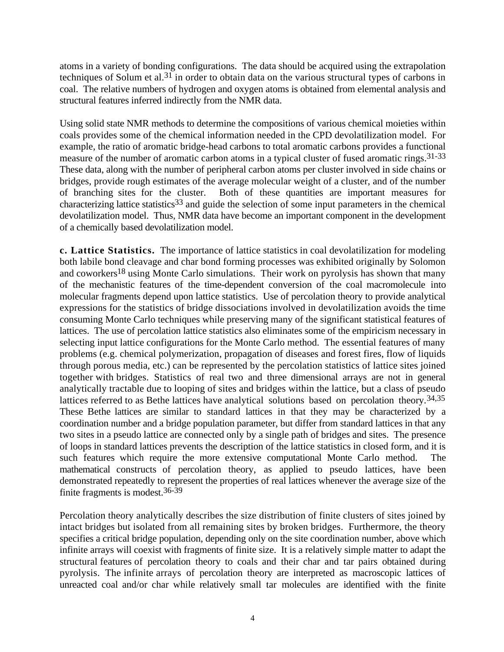atoms in a variety of bonding configurations. The data should be acquired using the extrapolation techniques of Solum et al.<sup>31</sup> in order to obtain data on the various structural types of carbons in coal. The relative numbers of hydrogen and oxygen atoms is obtained from elemental analysis and structural features inferred indirectly from the NMR data.

Using solid state NMR methods to determine the compositions of various chemical moieties within coals provides some of the chemical information needed in the CPD devolatilization model. For example, the ratio of aromatic bridge-head carbons to total aromatic carbons provides a functional measure of the number of aromatic carbon atoms in a typical cluster of fused aromatic rings.<sup>31-33</sup> These data, along with the number of peripheral carbon atoms per cluster involved in side chains or bridges, provide rough estimates of the average molecular weight of a cluster, and of the number of branching sites for the cluster. Both of these quantities are important measures for characterizing lattice statistics<sup>33</sup> and guide the selection of some input parameters in the chemical devolatilization model. Thus, NMR data have become an important component in the development of a chemically based devolatilization model.

**c. Lattice Statistics.** The importance of lattice statistics in coal devolatilization for modeling both labile bond cleavage and char bond forming processes was exhibited originally by Solomon and coworkers<sup>18</sup> using Monte Carlo simulations. Their work on pyrolysis has shown that many of the mechanistic features of the time-dependent conversion of the coal macromolecule into molecular fragments depend upon lattice statistics. Use of percolation theory to provide analytical expressions for the statistics of bridge dissociations involved in devolatilization avoids the time consuming Monte Carlo techniques while preserving many of the significant statistical features of lattices. The use of percolation lattice statistics also eliminates some of the empiricism necessary in selecting input lattice configurations for the Monte Carlo method. The essential features of many problems (e.g. chemical polymerization, propagation of diseases and forest fires, flow of liquids through porous media, etc.) can be represented by the percolation statistics of lattice sites joined together with bridges. Statistics of real two and three dimensional arrays are not in general analytically tractable due to looping of sites and bridges within the lattice, but a class of pseudo lattices referred to as Bethe lattices have analytical solutions based on percolation theory.<sup>34,35</sup> These Bethe lattices are similar to standard lattices in that they may be characterized by a coordination number and a bridge population parameter, but differ from standard lattices in that any two sites in a pseudo lattice are connected only by a single path of bridges and sites. The presence of loops in standard lattices prevents the description of the lattice statistics in closed form, and it is such features which require the more extensive computational Monte Carlo method. The mathematical constructs of percolation theory, as applied to pseudo lattices, have been demonstrated repeatedly to represent the properties of real lattices whenever the average size of the finite fragments is modest.36-39

Percolation theory analytically describes the size distribution of finite clusters of sites joined by intact bridges but isolated from all remaining sites by broken bridges. Furthermore, the theory specifies a critical bridge population, depending only on the site coordination number, above which infinite arrays will coexist with fragments of finite size. It is a relatively simple matter to adapt the structural features of percolation theory to coals and their char and tar pairs obtained during pyrolysis. The infinite arrays of percolation theory are interpreted as macroscopic lattices of unreacted coal and/or char while relatively small tar molecules are identified with the finite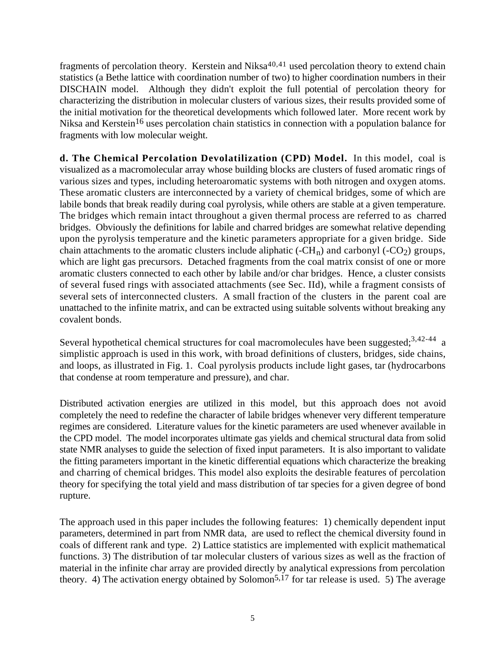fragments of percolation theory. Kerstein and Niksa $40,41$  used percolation theory to extend chain statistics (a Bethe lattice with coordination number of two) to higher coordination numbers in their DISCHAIN model. Although they didn't exploit the full potential of percolation theory for characterizing the distribution in molecular clusters of various sizes, their results provided some of the initial motivation for the theoretical developments which followed later. More recent work by Niksa and Kerstein<sup>16</sup> uses percolation chain statistics in connection with a population balance for fragments with low molecular weight.

**d. The Chemical Percolation Devolatilization (CPD) Model.** In this model, coal is visualized as a macromolecular array whose building blocks are clusters of fused aromatic rings of various sizes and types, including heteroaromatic systems with both nitrogen and oxygen atoms. These aromatic clusters are interconnected by a variety of chemical bridges, some of which are labile bonds that break readily during coal pyrolysis, while others are stable at a given temperature. The bridges which remain intact throughout a given thermal process are referred to as charred bridges. Obviously the definitions for labile and charred bridges are somewhat relative depending upon the pyrolysis temperature and the kinetic parameters appropriate for a given bridge. Side chain attachments to the aromatic clusters include aliphatic (- $CH_n$ ) and carbonyl (- $CO_2$ ) groups, which are light gas precursors. Detached fragments from the coal matrix consist of one or more aromatic clusters connected to each other by labile and/or char bridges. Hence, a cluster consists of several fused rings with associated attachments (see Sec. IId), while a fragment consists of several sets of interconnected clusters. A small fraction of the clusters in the parent coal are unattached to the infinite matrix, and can be extracted using suitable solvents without breaking any covalent bonds.

Several hypothetical chemical structures for coal macromolecules have been suggested; $3,42-44$  a simplistic approach is used in this work, with broad definitions of clusters, bridges, side chains, and loops, as illustrated in Fig. 1. Coal pyrolysis products include light gases, tar (hydrocarbons that condense at room temperature and pressure), and char.

Distributed activation energies are utilized in this model, but this approach does not avoid completely the need to redefine the character of labile bridges whenever very different temperature regimes are considered. Literature values for the kinetic parameters are used whenever available in the CPD model. The model incorporates ultimate gas yields and chemical structural data from solid state NMR analyses to guide the selection of fixed input parameters. It is also important to validate the fitting parameters important in the kinetic differential equations which characterize the breaking and charring of chemical bridges. This model also exploits the desirable features of percolation theory for specifying the total yield and mass distribution of tar species for a given degree of bond rupture.

The approach used in this paper includes the following features: 1) chemically dependent input parameters, determined in part from NMR data, are used to reflect the chemical diversity found in coals of different rank and type. 2) Lattice statistics are implemented with explicit mathematical functions. 3) The distribution of tar molecular clusters of various sizes as well as the fraction of material in the infinite char array are provided directly by analytical expressions from percolation theory. 4) The activation energy obtained by Solomon<sup>5,17</sup> for tar release is used. 5) The average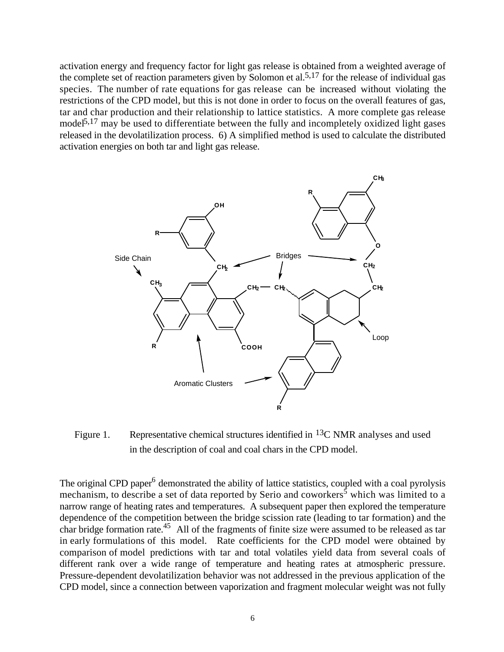activation energy and frequency factor for light gas release is obtained from a weighted average of the complete set of reaction parameters given by Solomon et al.<sup>5,17</sup> for the release of individual gas species. The number of rate equations for gas release can be increased without violating the restrictions of the CPD model, but this is not done in order to focus on the overall features of gas, tar and char production and their relationship to lattice statistics. A more complete gas release model<sup> $5,17$ </sup> may be used to differentiate between the fully and incompletely oxidized light gases released in the devolatilization process. 6) A simplified method is used to calculate the distributed activation energies on both tar and light gas release.



Figure 1. Representative chemical structures identified in  ${}^{13}C$  NMR analyses and used in the description of coal and coal chars in the CPD model.

The original CPD paper<sup>6</sup> demonstrated the ability of lattice statistics, coupled with a coal pyrolysis mechanism, to describe a set of data reported by Serio and coworkers<sup>5</sup> which was limited to a narrow range of heating rates and temperatures. A subsequent paper then explored the temperature dependence of the competition between the bridge scission rate (leading to tar formation) and the char bridge formation rate.<sup>45</sup> All of the fragments of finite size were assumed to be released as tar in early formulations of this model. Rate coefficients for the CPD model were obtained by comparison of model predictions with tar and total volatiles yield data from several coals of different rank over a wide range of temperature and heating rates at atmospheric pressure. Pressure-dependent devolatilization behavior was not addressed in the previous application of the CPD model, since a connection between vaporization and fragment molecular weight was not fully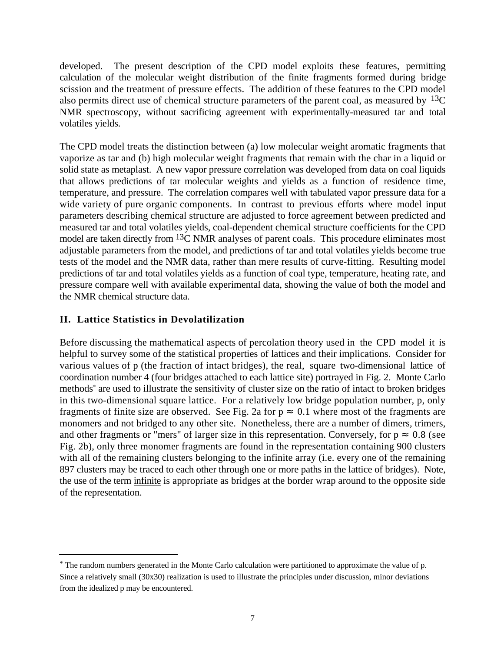developed. The present description of the CPD model exploits these features, permitting calculation of the molecular weight distribution of the finite fragments formed during bridge scission and the treatment of pressure effects. The addition of these features to the CPD model also permits direct use of chemical structure parameters of the parent coal, as measured by  $^{13}C$ NMR spectroscopy, without sacrificing agreement with experimentally-measured tar and total volatiles yields.

The CPD model treats the distinction between (a) low molecular weight aromatic fragments that vaporize as tar and (b) high molecular weight fragments that remain with the char in a liquid or solid state as metaplast. A new vapor pressure correlation was developed from data on coal liquids that allows predictions of tar molecular weights and yields as a function of residence time, temperature, and pressure. The correlation compares well with tabulated vapor pressure data for a wide variety of pure organic components. In contrast to previous efforts where model input parameters describing chemical structure are adjusted to force agreement between predicted and measured tar and total volatiles yields, coal-dependent chemical structure coefficients for the CPD model are taken directly from <sup>13</sup>C NMR analyses of parent coals. This procedure eliminates most adjustable parameters from the model, and predictions of tar and total volatiles yields become true tests of the model and the NMR data, rather than mere results of curve-fitting. Resulting model predictions of tar and total volatiles yields as a function of coal type, temperature, heating rate, and pressure compare well with available experimental data, showing the value of both the model and the NMR chemical structure data.

# **II. Lattice Statistics in Devolatilization**

l

Before discussing the mathematical aspects of percolation theory used in the CPD model it is helpful to survey some of the statistical properties of lattices and their implications. Consider for various values of p (the fraction of intact bridges), the real, square two-dimensional lattice of coordination number 4 (four bridges attached to each lattice site) portrayed in Fig. 2. Monte Carlo methods\* are used to illustrate the sensitivity of cluster size on the ratio of intact to broken bridges in this two-dimensional square lattice. For a relatively low bridge population number, p, only fragments of finite size are observed. See Fig. 2a for  $p = 0.1$  where most of the fragments are monomers and not bridged to any other site. Nonetheless, there are a number of dimers, trimers, and other fragments or "mers" of larger size in this representation. Conversely, for p 0.8 (see Fig. 2b), only three monomer fragments are found in the representation containing 900 clusters with all of the remaining clusters belonging to the infinite array (i.e. every one of the remaining 897 clusters may be traced to each other through one or more paths in the lattice of bridges). Note, the use of the term infinite is appropriate as bridges at the border wrap around to the opposite side of the representation.

<sup>\*</sup> The random numbers generated in the Monte Carlo calculation were partitioned to approximate the value of p. Since a relatively small (30x30) realization is used to illustrate the principles under discussion, minor deviations from the idealized p may be encountered.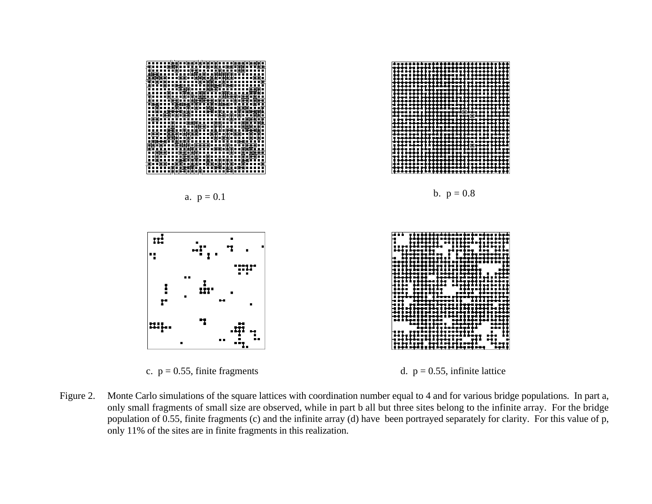

Figure 2. Monte Carlo simulations of the square lattices with coordination number equal to 4 and for various bridge populations. In part a, only small fragments of small size are observed, while in part b all but three sites belong to the infinite array. For the bridge population of 0.55, finite fragments (c) and the infinite array (d) have been portrayed separately for clarity. For this value of p, only 11% of the sites are in finite fragments in this realization.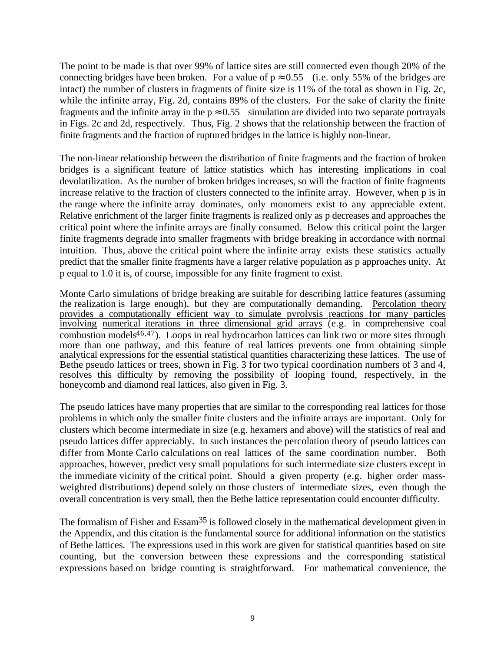The point to be made is that over 99% of lattice sites are still connected even though 20% of the connecting bridges have been broken. For a value of p 0.55 (i.e. only 55% of the bridges are intact) the number of clusters in fragments of finite size is 11% of the total as shown in Fig. 2c, while the infinite array, Fig. 2d, contains 89% of the clusters. For the sake of clarity the finite fragments and the infinite array in the p 0.55 simulation are divided into two separate portrayals in Figs. 2c and 2d, respectively. Thus, Fig. 2 shows that the relationship between the fraction of finite fragments and the fraction of ruptured bridges in the lattice is highly non-linear.

The non-linear relationship between the distribution of finite fragments and the fraction of broken bridges is a significant feature of lattice statistics which has interesting implications in coal devolatilization. As the number of broken bridges increases, so will the fraction of finite fragments increase relative to the fraction of clusters connected to the infinite array. However, when p is in the range where the infinite array dominates, only monomers exist to any appreciable extent. Relative enrichment of the larger finite fragments is realized only as p decreases and approaches the critical point where the infinite arrays are finally consumed. Below this critical point the larger finite fragments degrade into smaller fragments with bridge breaking in accordance with normal intuition. Thus, above the critical point where the infinite array exists these statistics actually predict that the smaller finite fragments have a larger relative population as p approaches unity. At p equal to 1.0 it is, of course, impossible for any finite fragment to exist.

Monte Carlo simulations of bridge breaking are suitable for describing lattice features (assuming the realization is large enough), but they are computationally demanding. Percolation theory provides a computationally efficient way to simulate pyrolysis reactions for many particles involving numerical iterations in three dimensional grid arrays (e.g. in comprehensive coal combustion models $46,47$ ). Loops in real hydrocarbon lattices can link two or more sites through more than one pathway, and this feature of real lattices prevents one from obtaining simple analytical expressions for the essential statistical quantities characterizing these lattices. The use of Bethe pseudo lattices or trees, shown in Fig. 3 for two typical coordination numbers of 3 and 4, resolves this difficulty by removing the possibility of looping found, respectively, in the honeycomb and diamond real lattices, also given in Fig. 3.

The pseudo lattices have many properties that are similar to the corresponding real lattices for those problems in which only the smaller finite clusters and the infinite arrays are important. Only for clusters which become intermediate in size (e.g. hexamers and above) will the statistics of real and pseudo lattices differ appreciably. In such instances the percolation theory of pseudo lattices can differ from Monte Carlo calculations on real lattices of the same coordination number. Both approaches, however, predict very small populations for such intermediate size clusters except in the immediate vicinity of the critical point. Should a given property (e.g. higher order massweighted distributions) depend solely on those clusters of intermediate sizes, even though the overall concentration is very small, then the Bethe lattice representation could encounter difficulty.

The formalism of Fisher and Essam<sup>35</sup> is followed closely in the mathematical development given in the Appendix, and this citation is the fundamental source for additional information on the statistics of Bethe lattices. The expressions used in this work are given for statistical quantities based on site counting, but the conversion between these expressions and the corresponding statistical expressions based on bridge counting is straightforward. For mathematical convenience, the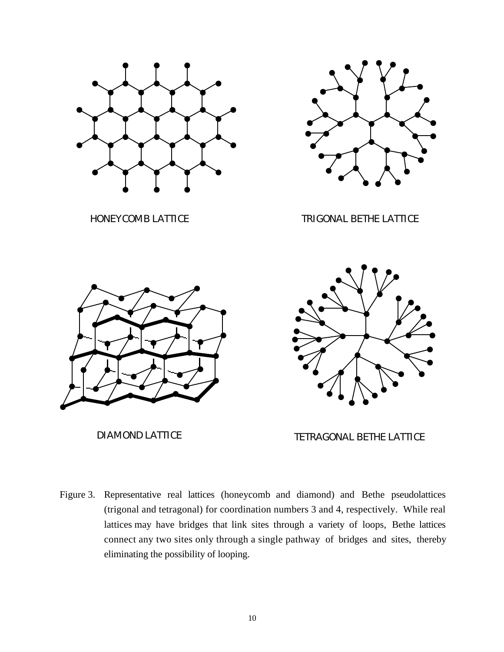

Figure 3. Representative real lattices (honeycomb and diamond) and Bethe pseudolattices (trigonal and tetragonal) for coordination numbers 3 and 4, respectively. While real lattices may have bridges that link sites through a variety of loops, Bethe lattices connect any two sites only through a single pathway of bridges and sites, thereby eliminating the possibility of looping.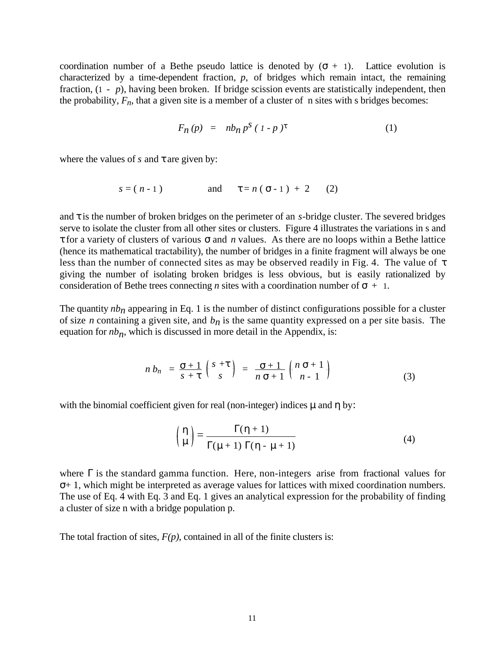coordination number of a Bethe pseudo lattice is denoted by  $( + 1)$ . Lattice evolution is characterized by a time-dependent fraction, *p*, of bridges which remain intact, the remaining fraction, (1 - *p*), having been broken. If bridge scission events are statistically independent, then the probability,  $F_n$ , that a given site is a member of a cluster of n sites with s bridges becomes:

$$
F_n(p) = nb_n p^s (1-p)
$$
 (1)

where the values of *s* and are given by:

$$
s = (n-1)
$$
 and  $= n(-1) + 2$  (2)

and is the number of broken bridges on the perimeter of an *s*-bridge cluster. The severed bridges serve to isolate the cluster from all other sites or clusters. Figure 4 illustrates the variations in s and

for a variety of clusters of various and *n* values. As there are no loops within a Bethe lattice (hence its mathematical tractability), the number of bridges in a finite fragment will always be one less than the number of connected sites as may be observed readily in Fig. 4. The value of giving the number of isolating broken bridges is less obvious, but is easily rationalized by consideration of Bethe trees connecting *n* sites with a coordination number of  $+ 1$ .

The quantity  $nb_n$  appearing in Eq. 1 is the number of distinct configurations possible for a cluster of size *n* containing a given site, and  $b_n$  is the same quantity expressed on a per site basis. The equation for  $nb_n$ , which is discussed in more detail in the Appendix, is:

$$
n b_n = \frac{+1}{s+} \begin{pmatrix} s+ \\ s \end{pmatrix} = \frac{+1}{n+1} \begin{pmatrix} n+1 \\ n-1 \end{pmatrix}
$$
 (3)

with the binomial coefficient given for real (non-integer) indices  $\mu$  and by:

$$
\begin{pmatrix} 1 \\ \mu \end{pmatrix} = \frac{(1+1)\lambda}{(\mu+1)(1-\mu+1)}
$$
 (4)

where is the standard gamma function. Here, non-integers arise from fractional values for + 1, which might be interpreted as average values for lattices with mixed coordination numbers. The use of Eq. 4 with Eq. 3 and Eq. 1 gives an analytical expression for the probability of finding a cluster of size n with a bridge population p.

The total fraction of sites,  $F(p)$ , contained in all of the finite clusters is: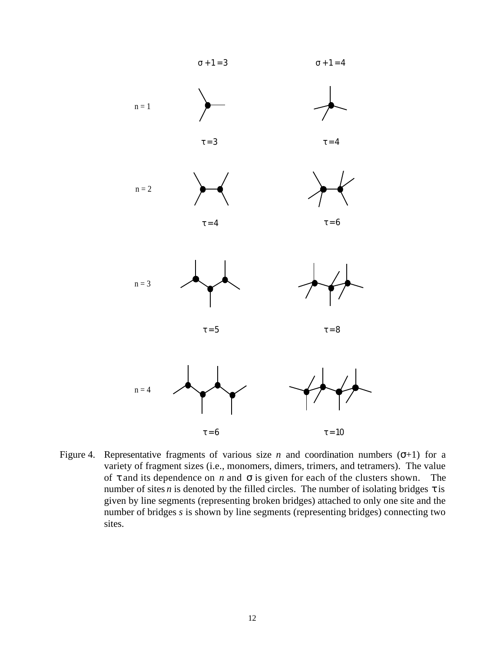

Figure 4. Representative fragments of various size *n* and coordination numbers  $( +1)$  for a variety of fragment sizes (i.e., monomers, dimers, trimers, and tetramers). The value of and its dependence on *n* and is given for each of the clusters shown. The number of sites *n* is denoted by the filled circles. The number of isolating bridges is given by line segments (representing broken bridges) attached to only one site and the number of bridges *s* is shown by line segments (representing bridges) connecting two sites.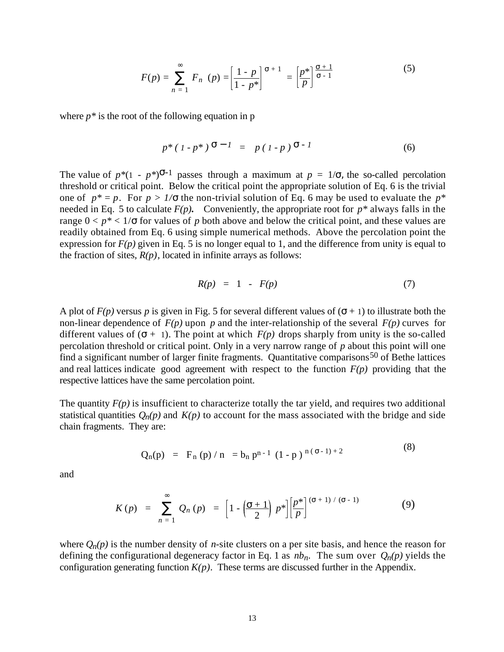$$
F(p) = \n \begin{cases} \n F_n & p \n \end{cases} = \n \begin{bmatrix} \n \frac{1 - p}{1 - p^*} \n \end{bmatrix}^{-1} = \n \begin{bmatrix} \n \frac{p^*}{p} \n \end{bmatrix}^{-1} \n \tag{5}
$$

where  $p^*$  is the root of the following equation in p

$$
p^*(1-p^*) \quad ^{-1} = p(1-p) \quad ^{-1} \tag{6}
$$

The value of  $p*(1 - p^*)$  <sup>-1</sup> passes through a maximum at  $p = 1/$ , the so-called percolation threshold or critical point. Below the critical point the appropriate solution of Eq. 6 is the trivial one of  $p^* = p$ . For  $p > 1$ / the non-trivial solution of Eq. 6 may be used to evaluate the  $p^*$ needed in Eq. 5 to calculate  $F(p)$ . Conveniently, the appropriate root for  $p^*$  always falls in the range  $0 < p^* < 1$  for values of p both above and below the critical point, and these values are readily obtained from Eq. 6 using simple numerical methods. Above the percolation point the expression for  $F(p)$  given in Eq. 5 is no longer equal to 1, and the difference from unity is equal to the fraction of sites,  $R(p)$ , located in infinite arrays as follows:

$$
R(p) = 1 - F(p) \tag{7}
$$

A plot of  $F(p)$  versus p is given in Fig. 5 for several different values of  $(-1)$  to illustrate both the non-linear dependence of  $F(p)$  upon p and the inter-relationship of the several  $F(p)$  curves for different values of  $( + 1)$ . The point at which  $F(p)$  drops sharply from unity is the so-called percolation threshold or critical point. Only in a very narrow range of *p* about this point will one find a significant number of larger finite fragments. Quantitative comparisons<sup>50</sup> of Bethe lattices and real lattices indicate good agreement with respect to the function  $F(p)$  providing that the respective lattices have the same percolation point.

The quantity  $F(p)$  is insufficient to characterize totally the tar yield, and requires two additional statistical quantities  $Q_n(p)$  and  $K(p)$  to account for the mass associated with the bridge and side chain fragments. They are:

$$
Q_n(p) = F_n(p) / n = b_n p^{n-1} (1-p)^{n(-1)+2}
$$
 (8)

and

$$
K(p) = \underset{n=1}{\Omega_n(p)} = \left[1 - \left(\frac{+1}{2}\right)p^*\right]\left[\frac{p^*}{p}\right]^{(-1)/(-1)}
$$
(9)

where  $Q_n(p)$  is the number density of *n*-site clusters on a per site basis, and hence the reason for defining the configurational degeneracy factor in Eq. 1 as  $nb_n$ . The sum over  $Q_n(p)$  yields the configuration generating function  $K(p)$ . These terms are discussed further in the Appendix.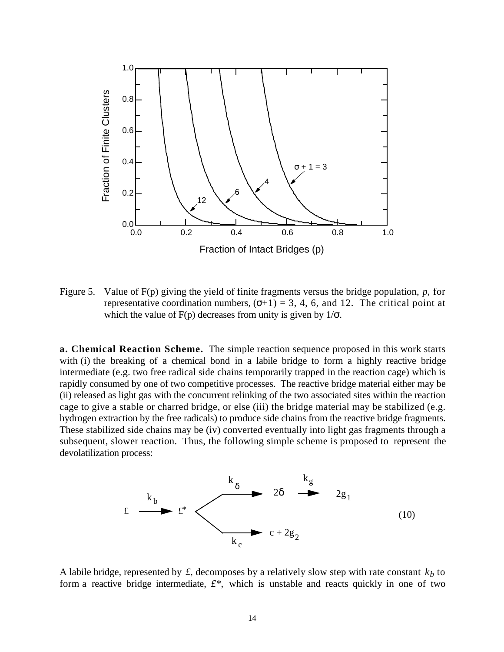

Figure 5. Value of F(p) giving the yield of finite fragments versus the bridge population, *p*, for representative coordination numbers,  $( +1) = 3, 4, 6$ , and 12. The critical point at which the value of  $F(p)$  decreases from unity is given by  $1/$ .

**a. Chemical Reaction Scheme.** The simple reaction sequence proposed in this work starts with (i) the breaking of a chemical bond in a labile bridge to form a highly reactive bridge intermediate (e.g. two free radical side chains temporarily trapped in the reaction cage) which is rapidly consumed by one of two competitive processes. The reactive bridge material either may be (ii) released as light gas with the concurrent relinking of the two associated sites within the reaction cage to give a stable or charred bridge, or else (iii) the bridge material may be stabilized (e.g. hydrogen extraction by the free radicals) to produce side chains from the reactive bridge fragments. These stabilized side chains may be (iv) converted eventually into light gas fragments through a subsequent, slower reaction. Thus, the following simple scheme is proposed to represent the devolatilization process:



A labile bridge, represented by  $f$ , decomposes by a relatively slow step with rate constant  $k_b$  to form a reactive bridge intermediate, *£\**, which is unstable and reacts quickly in one of two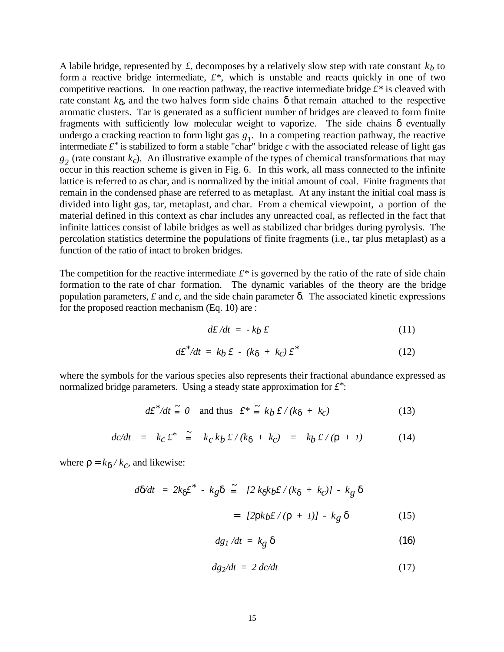A labile bridge, represented by  $f$ , decomposes by a relatively slow step with rate constant  $k_b$  to form a reactive bridge intermediate, *£\**, which is unstable and reacts quickly in one of two competitive reactions. In one reaction pathway, the reactive intermediate bridge  $f^*$  is cleaved with rate constant *k* , and the two halves form side chains that remain attached to the respective aromatic clusters. Tar is generated as a sufficient number of bridges are cleaved to form finite fragments with sufficiently low molecular weight to vaporize. The side chains eventually undergo a cracking reaction to form light gas  $g_l$ . In a competing reaction pathway, the reactive intermediate  $f^*$  is stabilized to form a stable "char" bridge  $c$  with the associated release of light gas  $g_2$  (rate constant  $k_c$ ). An illustrative example of the types of chemical transformations that may occur in this reaction scheme is given in Fig. 6. In this work, all mass connected to the infinite lattice is referred to as char, and is normalized by the initial amount of coal. Finite fragments that remain in the condensed phase are referred to as metaplast. At any instant the initial coal mass is divided into light gas, tar, metaplast, and char. From a chemical viewpoint, a portion of the material defined in this context as char includes any unreacted coal, as reflected in the fact that infinite lattices consist of labile bridges as well as stabilized char bridges during pyrolysis. The percolation statistics determine the populations of finite fragments (i.e., tar plus metaplast) as a function of the ratio of intact to broken bridges*.*

The competition for the reactive intermediate  $f^*$  is governed by the ratio of the rate of side chain formation to the rate of char formation. The dynamic variables of the theory are the bridge population parameters,  $\hat{t}$  and  $\hat{c}$ , and the side chain parameter  $\hat{c}$ . The associated kinetic expressions for the proposed reaction mechanism (Eq. 10) are :

$$
d\pounds/dt = -k_b \pounds \tag{11}
$$

$$
d\mathcal{L}^* / dt = k_b \mathcal{L} \cdot (k + k_c) \mathcal{L}^* \tag{12}
$$

where the symbols for the various species also represents their fractional abundance expressed as normalized bridge parameters. Using a steady state approximation for *£\**:

$$
d\pounds^* / dt \stackrel{\sim}{=} 0 \quad \text{and thus} \quad \pounds^* \stackrel{\sim}{=} k \, b \, \pounds / (k + k_c) \tag{13}
$$

$$
dc/dt = k_C \pounds^* \tilde{=} k_C k_b \pounds/(k + k_C) = k_b \pounds/(- + 1) \tag{14}
$$

where  $=k / k_c$ , and likewise:

$$
d/dt = 2k \pounds^* - k_g \quad \tilde{=} \quad [2 \; k \; k_b \pounds / (k + k_c)] - k_g
$$
\n
$$
= \quad [2 \; k_b \pounds / ( + 1)] - k_g \tag{15}
$$

$$
dg_1/dt = k_g \tag{16}
$$

$$
dg_2/dt = 2 \, dc/dt \tag{17}
$$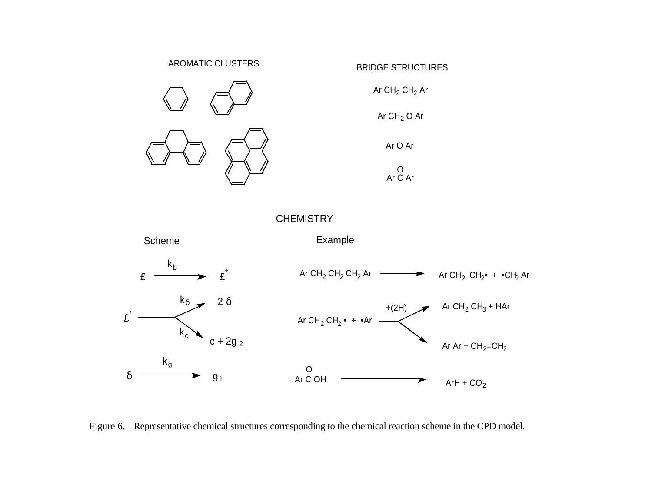



Figure 6. Representative chemical structures corresponding to the chemical reaction scheme in the CPD model.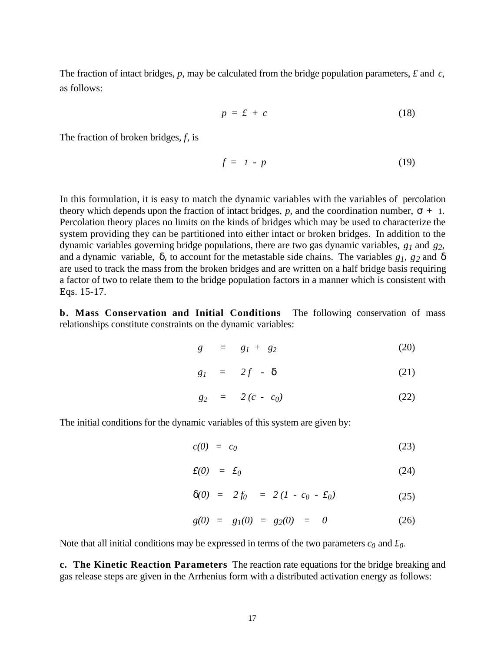The fraction of intact bridges, *p*, may be calculated from the bridge population parameters, *£* and *c*, as follows:

$$
p = \pounds + c \tag{18}
$$

The fraction of broken bridges, *f*, is

$$
f = 1 - p \tag{19}
$$

In this formulation, it is easy to match the dynamic variables with the variables of percolation theory which depends upon the fraction of intact bridges,  $p$ , and the coordination number,  $+ 1$ . Percolation theory places no limits on the kinds of bridges which may be used to characterize the system providing they can be partitioned into either intact or broken bridges. In addition to the dynamic variables governing bridge populations, there are two gas dynamic variables, *g1* and *g2*, and a dynamic variable, , to account for the metastable side chains. The variables *g1, g2* and are used to track the mass from the broken bridges and are written on a half bridge basis requiring a factor of two to relate them to the bridge population factors in a manner which is consistent with Eqs. 15-17.

**b. Mass Conservation and Initial Conditions** The following conservation of mass relationships constitute constraints on the dynamic variables:

$$
g = g_1 + g_2 \tag{20}
$$

$$
g_1 = 2f \quad . \tag{21}
$$

$$
g_2 = 2(c - c_0) \tag{22}
$$

The initial conditions for the dynamic variables of this system are given by:

$$
c(0) = c_0 \tag{23}
$$

$$
f(0) = f_0 \tag{24}
$$

$$
(0) = 2f_0 = 2(I - c_0 - f_0) \tag{25}
$$

$$
g(0) = g_1(0) = g_2(0) = 0 \tag{26}
$$

Note that all initial conditions may be expressed in terms of the two parameters  $c_0$  and  $\dot{\mathcal{L}}_0$ .

**c. The Kinetic Reaction Parameters** The reaction rate equations for the bridge breaking and gas release steps are given in the Arrhenius form with a distributed activation energy as follows: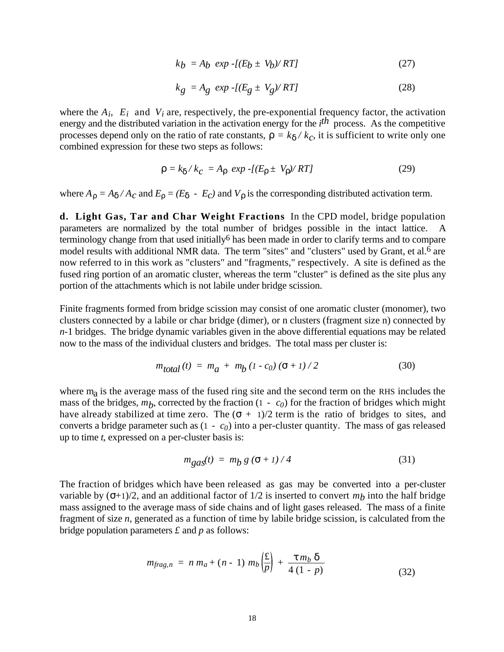$$
kb = Ab \exp\left\{ (E_b \pm V_b) / RT \right\} \tag{27}
$$

$$
k_g = A_g \exp\left(\frac{E_g \pm V_g}{RT}\right) \tag{28}
$$

where the  $A_i$ ,  $E_i$  and  $V_i$  are, respectively, the pre-exponential frequency factor, the activation energy and the distributed variation in the activation energy for the *i*<sup>th</sup> process. As the competitive processes depend only on the ratio of rate constants,  $= k / k_c$ , it is sufficient to write only one combined expression for these two steps as follows:

$$
= k / kC = A exp - [(E \pm V) / RT]
$$
 (29)

where  $A = A / A_c$  and  $E = (E - E_c)$  and  $V$  is the corresponding distributed activation term.

**d. Light Gas, Tar and Char Weight Fractions** In the CPD model, bridge population parameters are normalized by the total number of bridges possible in the intact lattice. A terminology change from that used initially<sup>6</sup> has been made in order to clarify terms and to compare model results with additional NMR data. The term "sites" and "clusters" used by Grant, et al.<sup>6</sup> are now referred to in this work as "clusters" and "fragments," respectively. A site is defined as the fused ring portion of an aromatic cluster, whereas the term "cluster" is defined as the site plus any portion of the attachments which is not labile under bridge scission.

Finite fragments formed from bridge scission may consist of one aromatic cluster (monomer), two clusters connected by a labile or char bridge (dimer), or n clusters (fragment size n) connected by *n*-1 bridges. The bridge dynamic variables given in the above differential equations may be related now to the mass of the individual clusters and bridges. The total mass per cluster is:

$$
m_{total}(t) = m_a + m_b (1 - c_0) (-1)/2
$$
 (30)

where m<sub>a</sub> is the average mass of the fused ring site and the second term on the RHS includes the mass of the bridges,  $m_b$ , corrected by the fraction (1 -  $c_0$ ) for the fraction of bridges which might have already stabilized at time zero. The  $( + 1)/2$  term is the ratio of bridges to sites, and converts a bridge parameter such as  $(1 - c_0)$  into a per-cluster quantity. The mass of gas released up to time *t*, expressed on a per-cluster basis is:

$$
m_{\text{gas}}(t) = m_{\text{b}} g \left( \begin{array}{c} +1 \end{array} \right) / 4 \tag{31}
$$

The fraction of bridges which have been released as gas may be converted into a per-cluster variable by  $( +1)/2$ , and an additional factor of  $1/2$  is inserted to convert  $m<sub>b</sub>$  into the half bridge mass assigned to the average mass of side chains and of light gases released. The mass of a finite fragment of size *n*, generated as a function of time by labile bridge scission, is calculated from the bridge population parameters *£* and *p* as follows:

$$
m_{frag, n} = n m_a + (n - 1) m_b \left(\frac{f}{p}\right) + \frac{m_b}{4 (1 - p)}
$$
(32)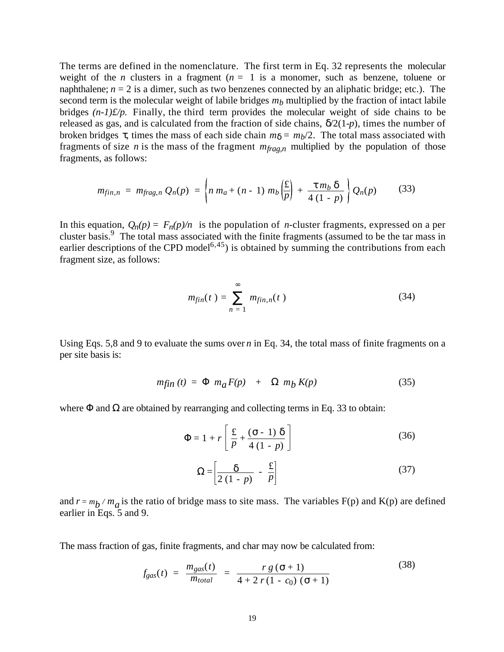The terms are defined in the nomenclature. The first term in Eq. 32 represents the molecular weight of the *n* clusters in a fragment ( $n = 1$  is a monomer, such as benzene, toluene or naphthalene;  $n = 2$  is a dimer, such as two benzenes connected by an aliphatic bridge; etc.). The second term is the molecular weight of labile bridges *mb* multiplied by the fraction of intact labile bridges *(n-1)£/p*. Finally, the third term provides the molecular weight of side chains to be released as gas, and is calculated from the fraction of side chains, /2(1-*p*), times the number of broken bridges , times the mass of each side chain  $m = m_b/2$ . The total mass associated with fragments of size *n* is the mass of the fragment *mfrag,n* multiplied by the population of those fragments, as follows:

$$
m_{fin,n} = m_{frag,n} Q_n(p) = \left\{ n \; m_a + (n-1) \; m_b \left( \frac{E}{p} \right) + \frac{m_b}{4 \; (1-p)} \right\} Q_n(p) \tag{33}
$$

In this equation,  $Q_n(p) = F_n(p)/n$  is the population of *n*-cluster fragments, expressed on a per cluster basis.<sup>9</sup> The total mass associated with the finite fragments (assumed to be the tar mass in earlier descriptions of the CPD model<sup>6,45</sup>) is obtained by summing the contributions from each fragment size, as follows:

$$
m_{fin}(t) = m_{fin,n}(t)
$$
\n(34)

Using Eqs. 5,8 and 9 to evaluate the sums over *n* in Eq. 34, the total mass of finite fragments on a per site basis is:

$$
m\ddot{f}in(t) = m_a F(p) + m_b K(p) \tag{35}
$$

where and are obtained by rearranging and collecting terms in Eq. 33 to obtain:

$$
= 1 + r \left[ \frac{f}{p} + \frac{(-1)}{4(1-p)} \right]
$$
 (36)

$$
= \left[\frac{1}{2(1-p)} - \frac{1}{p}\right]
$$
 (37)

and  $r = m_b / m_a$  is the ratio of bridge mass to site mass. The variables F(p) and K(p) are defined earlier in Eqs. 5 and 9.

The mass fraction of gas, finite fragments, and char may now be calculated from:

$$
f_{gas}(t) = \frac{m_{gas}(t)}{m_{total}} = \frac{rg(-1)}{4 + 2r(1 - c_0)(1 + 1)}
$$
(38)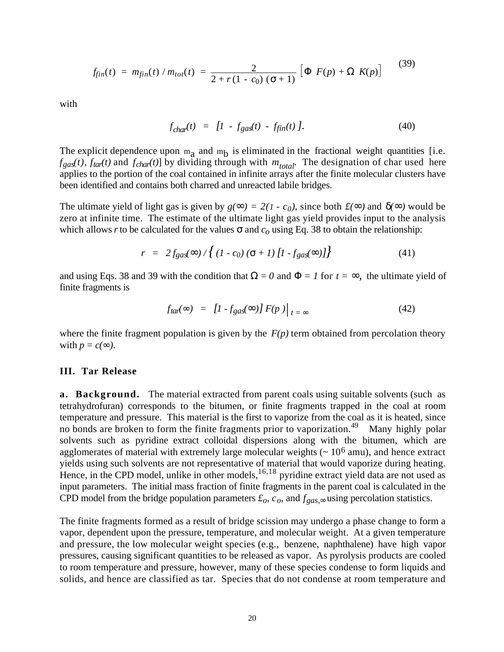$$
f_{fin}(t) = m_{fin}(t) / m_{tot}(t) = \frac{2}{2 + r(1 - c_0)(1 + 1)} \begin{bmatrix} F(p) + K(p) \end{bmatrix}
$$
 (39)

with

$$
f_{char}(t) = [1 - f_{gas}(t) - f_{fin}(t)]. \tag{40}
$$

The explicit dependence upon  $m_a$  and  $m_b$  is eliminated in the fractional weight quantities [i.e.  $f_{\text{gas}}(t)$ ,  $f_{\text{tar}}(t)$  and  $f_{\text{char}}(t)$  by dividing through with  $m_{\text{total}}$ . The designation of char used here applies to the portion of the coal contained in infinite arrays after the finite molecular clusters have been identified and contains both charred and unreacted labile bridges.

The ultimate yield of light gas is given by  $g( ) = 2(1 - c_0)$ , since both  $f( )$  and  $( )$  would be zero at infinite time. The estimate of the ultimate light gas yield provides input to the analysis which allows *r* to be calculated for the values and  $c<sub>o</sub>$  using Eq. 38 to obtain the relationship:

$$
r = 2f_{gas}( ) / \{(1 - c_0) ( + 1) [1 - f_{gas} ( )]\}
$$
 (41)

and using Eqs. 38 and 39 with the condition that  $= 0$  and  $= 1$  for  $t = 1$ , the ultimate yield of finite fragments is

$$
f_{\text{tar}}( ) = [I - f_{\text{gas}}( )] F(p) /_{t=}
$$
\n(42)

where the finite fragment population is given by the  $F(p)$  term obtained from percolation theory with  $p = c($   $)$ .

#### **III. Tar Release**

**a. Background.** The material extracted from parent coals using suitable solvents (such as tetrahydrofuran) corresponds to the bitumen, or finite fragments trapped in the coal at room temperature and pressure. This material is the first to vaporize from the coal as it is heated, since no bonds are broken to form the finite fragments prior to vaporization.<sup>49</sup> Many highly polar solvents such as pyridine extract colloidal dispersions along with the bitumen, which are agglomerates of material with extremely large molecular weights  $\sim 10^6$  amu), and hence extract yields using such solvents are not representative of material that would vaporize during heating. Hence, in the CPD model, unlike in other models,  $16,18$  pyridine extract yield data are not used as input parameters. The initial mass fraction of finite fragments in the parent coal is calculated in the CPD model from the bridge population parameters  $\mathcal{L}_o$ ,  $c_o$ , and  $f_{gas}$ , using percolation statistics.

The finite fragments formed as a result of bridge scission may undergo a phase change to form a vapor, dependent upon the pressure, temperature, and molecular weight. At a given temperature and pressure, the low molecular weight species (e.g., benzene, naphthalene) have high vapor pressures, causing significant quantities to be released as vapor. As pyrolysis products are cooled to room temperature and pressure, however, many of these species condense to form liquids and solids, and hence are classified as tar. Species that do not condense at room temperature and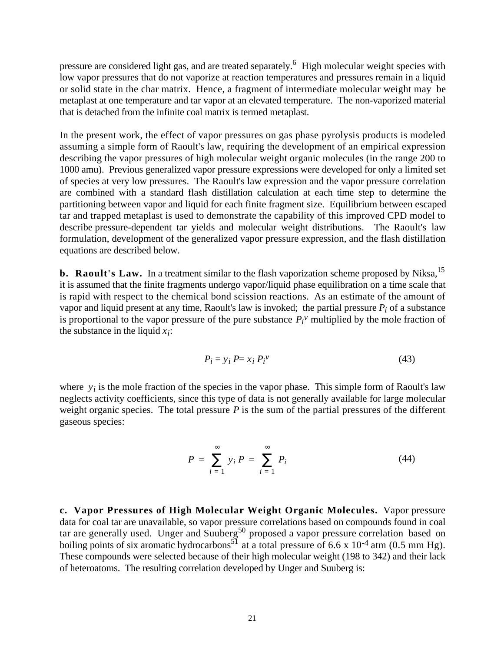pressure are considered light gas, and are treated separately.<sup>6</sup> High molecular weight species with low vapor pressures that do not vaporize at reaction temperatures and pressures remain in a liquid or solid state in the char matrix. Hence, a fragment of intermediate molecular weight may be metaplast at one temperature and tar vapor at an elevated temperature. The non-vaporized material that is detached from the infinite coal matrix is termed metaplast.

In the present work, the effect of vapor pressures on gas phase pyrolysis products is modeled assuming a simple form of Raoult's law, requiring the development of an empirical expression describing the vapor pressures of high molecular weight organic molecules (in the range 200 to 1000 amu). Previous generalized vapor pressure expressions were developed for only a limited set of species at very low pressures. The Raoult's law expression and the vapor pressure correlation are combined with a standard flash distillation calculation at each time step to determine the partitioning between vapor and liquid for each finite fragment size. Equilibrium between escaped tar and trapped metaplast is used to demonstrate the capability of this improved CPD model to describe pressure-dependent tar yields and molecular weight distributions. The Raoult's law formulation, development of the generalized vapor pressure expression, and the flash distillation equations are described below.

**b.** Raoult's Law. In a treatment similar to the flash vaporization scheme proposed by Niksa,<sup>15</sup> it is assumed that the finite fragments undergo vapor/liquid phase equilibration on a time scale that is rapid with respect to the chemical bond scission reactions. As an estimate of the amount of vapor and liquid present at any time, Raoult's law is invoked; the partial pressure  $P_i$  of a substance is proportional to the vapor pressure of the pure substance  $P_i^{\nu}$  multiplied by the mole fraction of the substance in the liquid  $x_i$ :

$$
P_i = y_i P = x_i P_i^{\nu}
$$
\n<sup>(43)</sup>

where  $y_i$  is the mole fraction of the species in the vapor phase. This simple form of Raoult's law neglects activity coefficients, since this type of data is not generally available for large molecular weight organic species. The total pressure *P* is the sum of the partial pressures of the different gaseous species:

$$
P = \sum_{i=1}^{j} p_i = P_i
$$
 (44)

**c. Vapor Pressures of High Molecular Weight Organic Molecules.** Vapor pressure data for coal tar are unavailable, so vapor pressure correlations based on compounds found in coal tar are generally used. Unger and Suuberg<sup>50</sup> proposed a vapor pressure correlation based on boiling points of six aromatic hydrocarbons<sup>51</sup> at a total pressure of 6.6 x 10<sup>-4</sup> atm (0.5 mm Hg). These compounds were selected because of their high molecular weight (198 to 342) and their lack of heteroatoms. The resulting correlation developed by Unger and Suuberg is: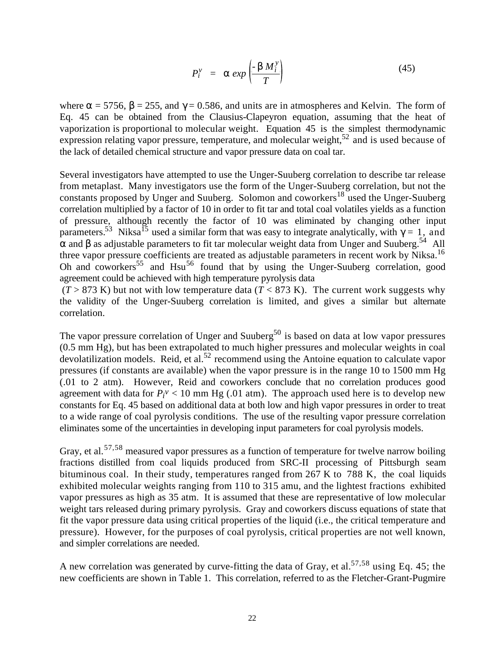$$
P_i^{\nu} = exp\left(-\frac{M_i^{\nu}}{T}\right) \tag{45}
$$

where  $= 5756$ ,  $= 255$ , and  $= 0.586$ , and units are in atmospheres and Kelvin. The form of Eq. 45 can be obtained from the Clausius-Clapeyron equation, assuming that the heat of vaporization is proportional to molecular weight. Equation 45 is the simplest thermodynamic expression relating vapor pressure, temperature, and molecular weight,<sup>52</sup> and is used because of the lack of detailed chemical structure and vapor pressure data on coal tar.

Several investigators have attempted to use the Unger-Suuberg correlation to describe tar release from metaplast. Many investigators use the form of the Unger-Suuberg correlation, but not the constants proposed by Unger and Suuberg. Solomon and coworkers<sup>18</sup> used the Unger-Suuberg correlation multiplied by a factor of 10 in order to fit tar and total coal volatiles yields as a function of pressure, although recently the factor of 10 was eliminated by changing other input parameters.<sup>53</sup> Niksa<sup>15</sup> used a similar form that was easy to integrate analytically, with = 1, and and as adjustable parameters to fit tar molecular weight data from Unger and Suuberg.<sup>54</sup> All three vapor pressure coefficients are treated as adjustable parameters in recent work by Niksa.<sup>16</sup> Oh and coworkers<sup>55</sup> and Hsu<sup>56</sup> found that by using the Unger-Suuberg correlation, good agreement could be achieved with high temperature pyrolysis data

 $(T > 873 \text{ K})$  but not with low temperature data  $(T < 873 \text{ K})$ . The current work suggests why the validity of the Unger-Suuberg correlation is limited, and gives a similar but alternate correlation.

The vapor pressure correlation of Unger and Suuberg<sup>50</sup> is based on data at low vapor pressures (0.5 mm Hg), but has been extrapolated to much higher pressures and molecular weights in coal devolatilization models. Reid, et al.<sup>52</sup> recommend using the Antoine equation to calculate vapor pressures (if constants are available) when the vapor pressure is in the range 10 to 1500 mm Hg (.01 to 2 atm). However, Reid and coworkers conclude that no correlation produces good agreement with data for  $P_i^{\nu}$  < 10 mm Hg (.01 atm). The approach used here is to develop new constants for Eq. 45 based on additional data at both low and high vapor pressures in order to treat to a wide range of coal pyrolysis conditions. The use of the resulting vapor pressure correlation eliminates some of the uncertainties in developing input parameters for coal pyrolysis models.

Gray, et al.<sup>57,58</sup> measured vapor pressures as a function of temperature for twelve narrow boiling fractions distilled from coal liquids produced from SRC-II processing of Pittsburgh seam bituminous coal. In their study, temperatures ranged from 267 K to 788 K, the coal liquids exhibited molecular weights ranging from 110 to 315 amu, and the lightest fractions exhibited vapor pressures as high as 35 atm. It is assumed that these are representative of low molecular weight tars released during primary pyrolysis. Gray and coworkers discuss equations of state that fit the vapor pressure data using critical properties of the liquid (i.e., the critical temperature and pressure). However, for the purposes of coal pyrolysis, critical properties are not well known, and simpler correlations are needed.

A new correlation was generated by curve-fitting the data of Gray, et al.<sup>57,58</sup> using Eq. 45; the new coefficients are shown in Table 1. This correlation, referred to as the Fletcher-Grant-Pugmire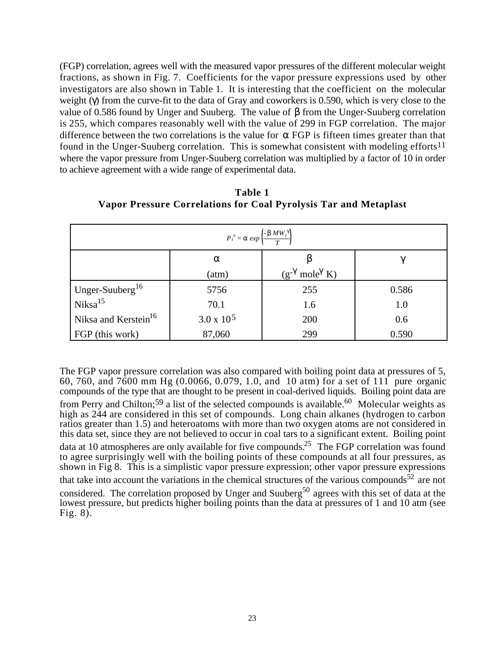(FGP) correlation, agrees well with the measured vapor pressures of the different molecular weight fractions, as shown in Fig. 7. Coefficients for the vapor pressure expressions used by other investigators are also shown in Table 1. It is interesting that the coefficient on the molecular weight ( ) from the curve-fit to the data of Gray and coworkers is 0.590, which is very close to the value of 0.586 found by Unger and Suuberg. The value of from the Unger-Suuberg correlation is 255, which compares reasonably well with the value of 299 in FGP correlation. The major difference between the two correlations is the value for FGP is fifteen times greater than that found in the Unger-Suuberg correlation. This is somewhat consistent with modeling efforts<sup>11</sup> where the vapor pressure from Unger-Suuberg correlation was multiplied by a factor of 10 in order to achieve agreement with a wide range of experimental data.

| $MW_i$<br>$P_i^{\nu} = exp$      |                   |                      |       |  |
|----------------------------------|-------------------|----------------------|-------|--|
|                                  | (atm)             | mole K)<br>$(g^{-})$ |       |  |
| Unger-Suuberg <sup>16</sup>      | 5756              | 255                  | 0.586 |  |
| Niksa <sup>15</sup>              | 70.1              | 1.6                  | 1.0   |  |
| Niksa and Kerstein <sup>16</sup> | $3.0 \times 10^5$ | 200                  | 0.6   |  |
| FGP (this work)                  | 87,060            | 299                  | 0.590 |  |

**Table 1 Vapor Pressure Correlations for Coal Pyrolysis Tar and Metaplast**

The FGP vapor pressure correlation was also compared with boiling point data at pressures of 5, 60, 760, and 7600 mm Hg (0.0066, 0.079, 1.0, and 10 atm) for a set of 111 pure organic compounds of the type that are thought to be present in coal-derived liquids. Boiling point data are from Perry and Chilton;<sup>59</sup> a list of the selected compounds is available.<sup>60</sup> Molecular weights as high as 244 are considered in this set of compounds. Long chain alkanes (hydrogen to carbon ratios greater than 1.5) and heteroatoms with more than two oxygen atoms are not considered in this data set, since they are not believed to occur in coal tars to a significant extent. Boiling point data at 10 atmospheres are only available for five compounds.<sup>25</sup> The FGP correlation was found to agree surprisingly well with the boiling points of these compounds at all four pressures, as shown in Fig 8. This is a simplistic vapor pressure expression; other vapor pressure expressions that take into account the variations in the chemical structures of the various compounds<sup>52</sup> are not considered. The correlation proposed by Unger and Suuberg<sup>50</sup> agrees with this set of data at the lowest pressure, but predicts higher boiling points than the data at pressures of 1 and 10 atm (see Fig. 8).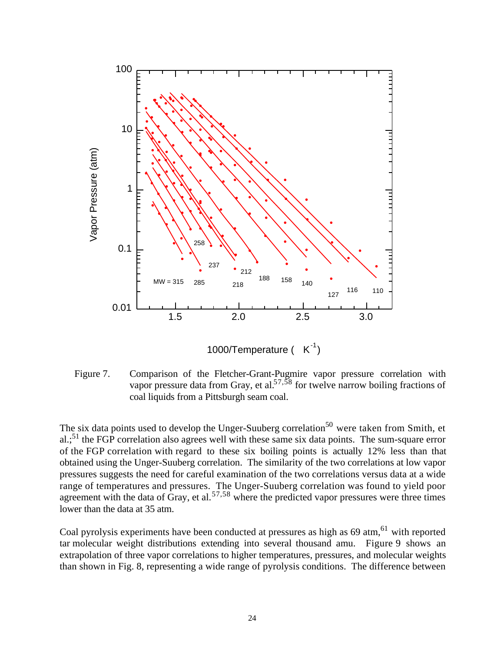

1000/Temperature  $(K<sup>-1</sup>)$ 

Figure 7. Comparison of the Fletcher-Grant-Pugmire vapor pressure correlation with vapor pressure data from Gray, et al.<sup>57,58</sup> for twelve narrow boiling fractions of coal liquids from a Pittsburgh seam coal.

The six data points used to develop the Unger-Suuberg correlation<sup>50</sup> were taken from Smith, et  $aL<sup>51</sup>$ ; the FGP correlation also agrees well with these same six data points. The sum-square error of the FGP correlation with regard to these six boiling points is actually 12% less than that obtained using the Unger-Suuberg correlation. The similarity of the two correlations at low vapor pressures suggests the need for careful examination of the two correlations versus data at a wide range of temperatures and pressures. The Unger-Suuberg correlation was found to yield poor agreement with the data of Gray, et al.  $57,58$  where the predicted vapor pressures were three times lower than the data at 35 atm.

Coal pyrolysis experiments have been conducted at pressures as high as 69 atm,<sup>61</sup> with reported tar molecular weight distributions extending into several thousand amu. Figure 9 shows an extrapolation of three vapor correlations to higher temperatures, pressures, and molecular weights than shown in Fig. 8, representing a wide range of pyrolysis conditions. The difference between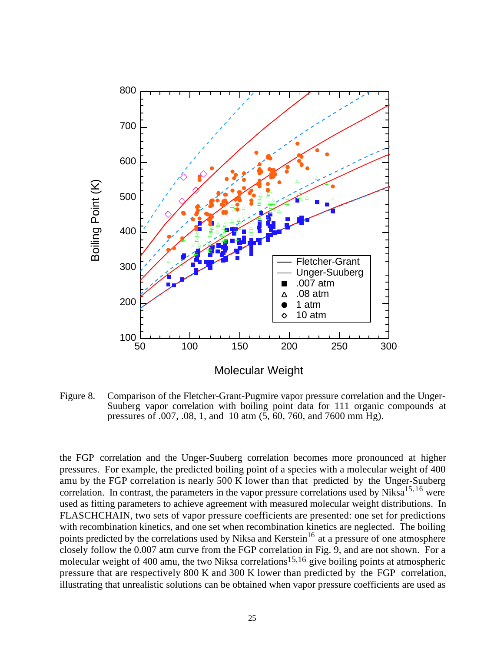

Figure 8. Comparison of the Fletcher-Grant-Pugmire vapor pressure correlation and the Unger-Suuberg vapor correlation with boiling point data for 111 organic compounds at pressures of .007, .08, 1, and 10 atm (5, 60, 760, and 7600 mm Hg).

the FGP correlation and the Unger-Suuberg correlation becomes more pronounced at higher pressures. For example, the predicted boiling point of a species with a molecular weight of 400 amu by the FGP correlation is nearly 500 K lower than that predicted by the Unger-Suuberg correlation. In contrast, the parameters in the vapor pressure correlations used by Niksa<sup>15,16</sup> were used as fitting parameters to achieve agreement with measured molecular weight distributions. In FLASCHCHAIN, two sets of vapor pressure coefficients are presented: one set for predictions with recombination kinetics, and one set when recombination kinetics are neglected. The boiling points predicted by the correlations used by Niksa and Kerstein<sup>16</sup> at a pressure of one atmosphere closely follow the 0.007 atm curve from the FGP correlation in Fig. 9, and are not shown. For a molecular weight of 400 amu, the two Niksa correlations15,16 give boiling points at atmospheric pressure that are respectively 800 K and 300 K lower than predicted by the FGP correlation, illustrating that unrealistic solutions can be obtained when vapor pressure coefficients are used as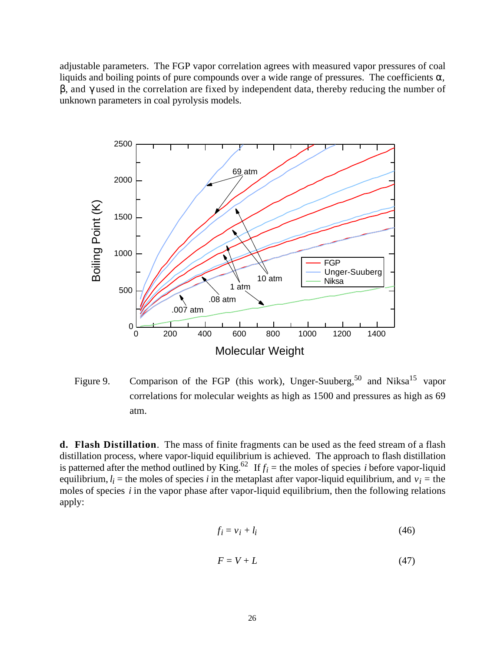adjustable parameters. The FGP vapor correlation agrees with measured vapor pressures of coal liquids and boiling points of pure compounds over a wide range of pressures. The coefficients *,*

, and used in the correlation are fixed by independent data, thereby reducing the number of unknown parameters in coal pyrolysis models.



Figure 9. Comparison of the FGP (this work), Unger-Suuberg,<sup>50</sup> and Niksa<sup>15</sup> vapor correlations for molecular weights as high as 1500 and pressures as high as 69 atm.

**d. Flash Distillation**. The mass of finite fragments can be used as the feed stream of a flash distillation process, where vapor-liquid equilibrium is achieved. The approach to flash distillation is patterned after the method outlined by King.<sup>62</sup> If  $f_i$  = the moles of species *i* before vapor-liquid equilibrium,  $l_i$  = the moles of species *i* in the metaplast after vapor-liquid equilibrium, and  $v_i$  = the moles of species *i* in the vapor phase after vapor-liquid equilibrium, then the following relations apply:

$$
f_i = v_i + l_i \tag{46}
$$

$$
F = V + L \tag{47}
$$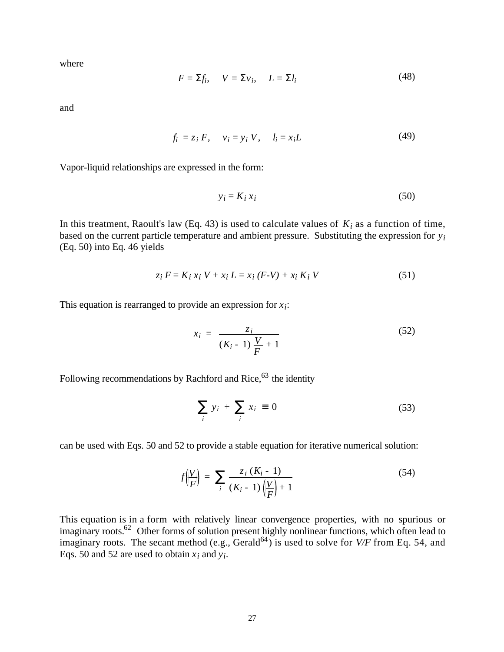where

$$
F = f_i, \quad V = \quad v_i, \quad L = \quad l_i \tag{48}
$$

 $\mathcal{A}$ 

and

$$
f_i = z_i F, \quad v_i = y_i V, \quad l_i = x_i L \tag{49}
$$

Vapor-liquid relationships are expressed in the form:

$$
y_i = K_i x_i \tag{50}
$$

In this treatment, Raoult's law (Eq. 43) is used to calculate values of  $K_i$  as a function of time, based on the current particle temperature and ambient pressure. Substituting the expression for *yi* (Eq. 50) into Eq. 46 yields

$$
z_i F = K_i x_i V + x_i L = x_i (F - V) + x_i K_i V
$$
 (51)

This equation is rearranged to provide an expression for  $x_i$ :

$$
x_i = \frac{z_i}{(K_i - 1)\frac{V}{F} + 1}
$$
 (52)

Following recommendations by Rachford and Rice, $63$  the identity

$$
y_i + x_i \quad 0 \tag{53}
$$

can be used with Eqs. 50 and 52 to provide a stable equation for iterative numerical solution:

$$
f\left(\frac{V}{F}\right) = \frac{z_i (K_i - 1)}{(K_i - 1)\left(\frac{V}{F}\right) + 1}
$$
 (54)

This equation is in a form with relatively linear convergence properties, with no spurious or imaginary roots.<sup>62</sup> Other forms of solution present highly nonlinear functions, which often lead to imaginary roots. The secant method (e.g.,  $\text{Gerald}^{64}$ ) is used to solve for  $V/F$  from Eq. 54, and Eqs. 50 and 52 are used to obtain  $x_i$  and  $y_i$ .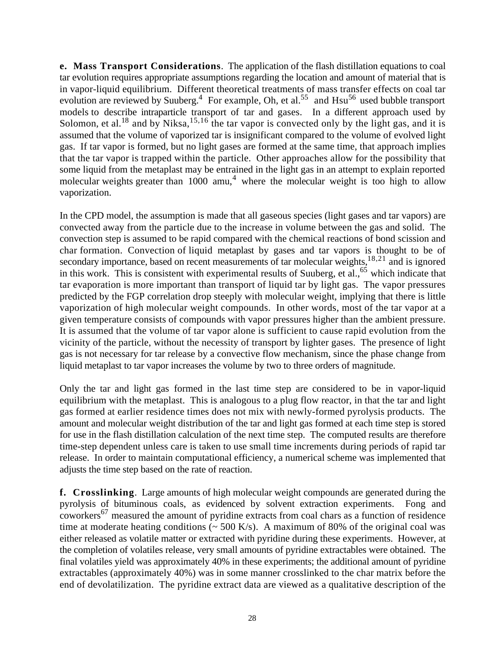**e. Mass Transport Considerations**. The application of the flash distillation equations to coal tar evolution requires appropriate assumptions regarding the location and amount of material that is in vapor-liquid equilibrium. Different theoretical treatments of mass transfer effects on coal tar evolution are reviewed by Suuberg.<sup>4</sup> For example, Oh, et al.<sup>55</sup> and  $Hsu<sup>56</sup>$  used bubble transport models to describe intraparticle transport of tar and gases. In a different approach used by Solomon, et al.<sup>18</sup> and by Niksa,  $15,16$  the tar vapor is convected only by the light gas, and it is assumed that the volume of vaporized tar is insignificant compared to the volume of evolved light gas. If tar vapor is formed, but no light gases are formed at the same time, that approach implies that the tar vapor is trapped within the particle. Other approaches allow for the possibility that some liquid from the metaplast may be entrained in the light gas in an attempt to explain reported molecular weights greater than  $1000$  amu,<sup>4</sup> where the molecular weight is too high to allow vaporization.

In the CPD model, the assumption is made that all gaseous species (light gases and tar vapors) are convected away from the particle due to the increase in volume between the gas and solid. The convection step is assumed to be rapid compared with the chemical reactions of bond scission and char formation. Convection of liquid metaplast by gases and tar vapors is thought to be of secondary importance, based on recent measurements of tar molecular weights, $18,21$  and is ignored in this work. This is consistent with experimental results of Suuberg, et al.,  $65$  which indicate that tar evaporation is more important than transport of liquid tar by light gas. The vapor pressures predicted by the FGP correlation drop steeply with molecular weight, implying that there is little vaporization of high molecular weight compounds. In other words, most of the tar vapor at a given temperature consists of compounds with vapor pressures higher than the ambient pressure. It is assumed that the volume of tar vapor alone is sufficient to cause rapid evolution from the vicinity of the particle, without the necessity of transport by lighter gases. The presence of light gas is not necessary for tar release by a convective flow mechanism, since the phase change from liquid metaplast to tar vapor increases the volume by two to three orders of magnitude.

Only the tar and light gas formed in the last time step are considered to be in vapor-liquid equilibrium with the metaplast. This is analogous to a plug flow reactor, in that the tar and light gas formed at earlier residence times does not mix with newly-formed pyrolysis products. The amount and molecular weight distribution of the tar and light gas formed at each time step is stored for use in the flash distillation calculation of the next time step. The computed results are therefore time-step dependent unless care is taken to use small time increments during periods of rapid tar release. In order to maintain computational efficiency, a numerical scheme was implemented that adjusts the time step based on the rate of reaction.

**f. Crosslinking**. Large amounts of high molecular weight compounds are generated during the pyrolysis of bituminous coals, as evidenced by solvent extraction experiments. Fong and  $\sim$  coworkers<sup>67</sup> measured the amount of pyridine extracts from coal chars as a function of residence time at moderate heating conditions ( $\sim$  500 K/s). A maximum of 80% of the original coal was either released as volatile matter or extracted with pyridine during these experiments. However, at the completion of volatiles release, very small amounts of pyridine extractables were obtained. The final volatiles yield was approximately 40% in these experiments; the additional amount of pyridine extractables (approximately 40%) was in some manner crosslinked to the char matrix before the end of devolatilization. The pyridine extract data are viewed as a qualitative description of the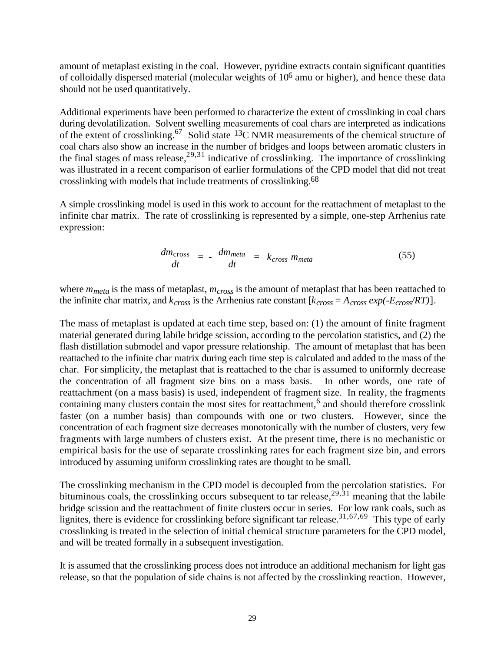amount of metaplast existing in the coal. However, pyridine extracts contain significant quantities of colloidally dispersed material (molecular weights of 106 amu or higher), and hence these data should not be used quantitatively.

Additional experiments have been performed to characterize the extent of crosslinking in coal chars during devolatilization. Solvent swelling measurements of coal chars are interpreted as indications of the extent of crosslinking.67 Solid state 13C NMR measurements of the chemical structure of coal chars also show an increase in the number of bridges and loops between aromatic clusters in the final stages of mass release,  $29,31$  indicative of crosslinking. The importance of crosslinking was illustrated in a recent comparison of earlier formulations of the CPD model that did not treat crosslinking with models that include treatments of crosslinking.68

A simple crosslinking model is used in this work to account for the reattachment of metaplast to the infinite char matrix. The rate of crosslinking is represented by a simple, one-step Arrhenius rate expression:

$$
\frac{dm_{\text{cross}}}{dt} = -\frac{dm_{\text{meta}}}{dt} = k_{cross} m_{\text{meta}}
$$
\n(55)

where *mmeta* is the mass of metaplast, *mcross* is the amount of metaplast that has been reattached to the infinite char matrix, and  $k_{cross}$  is the Arrhenius rate constant  $[k_{cross} = A_{cross} exp(-E_{cross}/RT)].$ 

The mass of metaplast is updated at each time step, based on: (1) the amount of finite fragment material generated during labile bridge scission, according to the percolation statistics, and (2) the flash distillation submodel and vapor pressure relationship. The amount of metaplast that has been reattached to the infinite char matrix during each time step is calculated and added to the mass of the char. For simplicity, the metaplast that is reattached to the char is assumed to uniformly decrease the concentration of all fragment size bins on a mass basis. In other words, one rate of reattachment (on a mass basis) is used, independent of fragment size. In reality, the fragments containing many clusters contain the most sites for reattachment,<sup>6</sup> and should therefore crosslink faster (on a number basis) than compounds with one or two clusters. However, since the concentration of each fragment size decreases monotonically with the number of clusters, very few fragments with large numbers of clusters exist. At the present time, there is no mechanistic or empirical basis for the use of separate crosslinking rates for each fragment size bin, and errors introduced by assuming uniform crosslinking rates are thought to be small.

The crosslinking mechanism in the CPD model is decoupled from the percolation statistics. For bituminous coals, the crosslinking occurs subsequent to tar release,<sup>29,31</sup> meaning that the labile bridge scission and the reattachment of finite clusters occur in series. For low rank coals, such as lignites, there is evidence for crosslinking before significant tar release.<sup>31,67,69</sup> This type of early crosslinking is treated in the selection of initial chemical structure parameters for the CPD model, and will be treated formally in a subsequent investigation.

It is assumed that the crosslinking process does not introduce an additional mechanism for light gas release, so that the population of side chains is not affected by the crosslinking reaction. However,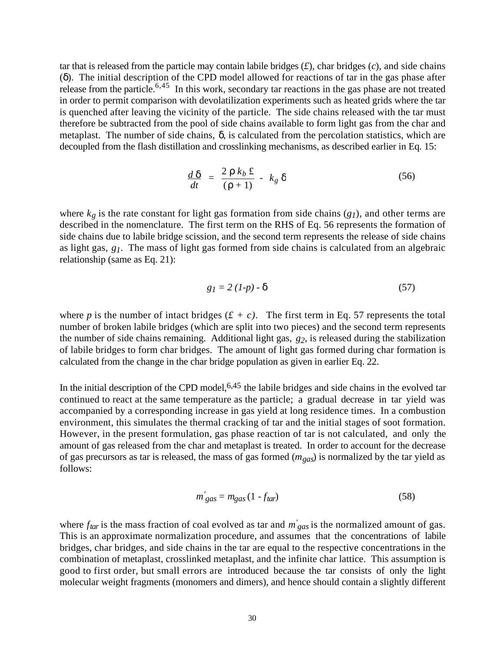tar that is released from the particle may contain labile bridges  $(f)$ , char bridges  $(c)$ , and side chains ( ). The initial description of the CPD model allowed for reactions of tar in the gas phase after release from the particle.<sup>6,45</sup> In this work, secondary tar reactions in the gas phase are not treated in order to permit comparison with devolatilization experiments such as heated grids where the tar is quenched after leaving the vicinity of the particle. The side chains released with the tar must therefore be subtracted from the pool of side chains available to form light gas from the char and metaplast. The number of side chains, , is calculated from the percolation statistics, which are decoupled from the flash distillation and crosslinking mechanisms, as described earlier in Eq. 15:

$$
\frac{d}{dt} = \frac{2}{\left(1 + 1\right)} - k_g \tag{56}
$$

where  $k_g$  is the rate constant for light gas formation from side chains  $(g_I)$ , and other terms are described in the nomenclature. The first term on the RHS of Eq. 56 represents the formation of side chains due to labile bridge scission, and the second term represents the release of side chains as light gas, *g1*. The mass of light gas formed from side chains is calculated from an algebraic relationship (same as Eq. 21):

$$
g_1 = 2 (1-p) \tag{57}
$$

where *p* is the number of intact bridges  $(f + c)$ . The first term in Eq. 57 represents the total number of broken labile bridges (which are split into two pieces) and the second term represents the number of side chains remaining. Additional light gas, *g2*, is released during the stabilization of labile bridges to form char bridges. The amount of light gas formed during char formation is calculated from the change in the char bridge population as given in earlier Eq. 22.

In the initial description of the CPD model,  $6,45$  the labile bridges and side chains in the evolved tar continued to react at the same temperature as the particle; a gradual decrease in tar yield was accompanied by a corresponding increase in gas yield at long residence times. In a combustion environment, this simulates the thermal cracking of tar and the initial stages of soot formation. However, in the present formulation, gas phase reaction of tar is not calculated, and only the amount of gas released from the char and metaplast is treated. In order to account for the decrease of gas precursors as tar is released, the mass of gas formed (*mgas*) is normalized by the tar yield as follows:

$$
m'_{gas} = m_{gas} \left( 1 - f_{tar} \right) \tag{58}
$$

where  $f_{tar}$  is the mass fraction of coal evolved as tar and  $m'_{gas}$  is the normalized amount of gas. This is an approximate normalization procedure, and assumes that the concentrations of labile bridges, char bridges, and side chains in the tar are equal to the respective concentrations in the combination of metaplast, crosslinked metaplast, and the infinite char lattice. This assumption is good to first order, but small errors are introduced because the tar consists of only the light molecular weight fragments (monomers and dimers), and hence should contain a slightly different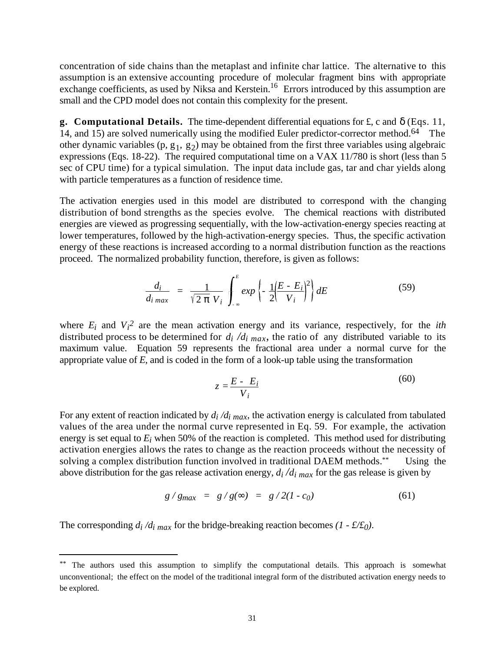concentration of side chains than the metaplast and infinite char lattice. The alternative to this assumption is an extensive accounting procedure of molecular fragment bins with appropriate exchange coefficients, as used by Niksa and Kerstein.<sup>16</sup> Errors introduced by this assumption are small and the CPD model does not contain this complexity for the present.

**g. Computational Details.** The time-dependent differential equations for £, c and (Eqs. 11, 14, and 15) are solved numerically using the modified Euler predictor-corrector method.<sup>64</sup> The other dynamic variables  $(p, g_1, g_2)$  may be obtained from the first three variables using algebraic expressions (Eqs. 18-22). The required computational time on a VAX 11/780 is short (less than 5 sec of CPU time) for a typical simulation. The input data include gas, tar and char yields along with particle temperatures as a function of residence time.

The activation energies used in this model are distributed to correspond with the changing distribution of bond strengths as the species evolve. The chemical reactions with distributed energies are viewed as progressing sequentially, with the low-activation-energy species reacting at lower temperatures, followed by the high-activation-energy species. Thus, the specific activation energy of these reactions is increased according to a normal distribution function as the reactions proceed. The normalized probability function, therefore, is given as follows:

$$
\frac{d_i}{d_i_{max}} = \frac{1}{\sqrt{2} V_i} \int_{i}^{E} exp\left\{-\frac{1}{2} \left(\frac{E - E_i}{V_i}\right)^2\right\} dE \tag{59}
$$

where  $E_i$  and  $V_i^2$  are the mean activation energy and its variance, respectively, for the *ith* distributed process to be determined for  $d_i/d_i$   $_{max}$ , the ratio of any distributed variable to its maximum value. Equation 59 represents the fractional area under a normal curve for the appropriate value of *E*, and is coded in the form of a look-up table using the transformation

$$
z = \frac{E - E_i}{V_i} \tag{60}
$$

For any extent of reaction indicated by  $d_i/d_i$   $_{max}$ , the activation energy is calculated from tabulated values of the area under the normal curve represented in Eq. 59. For example, the activation energy is set equal to *Ei* when 50% of the reaction is completed. This method used for distributing activation energies allows the rates to change as the reaction proceeds without the necessity of solving a complex distribution function involved in traditional DAEM methods.\*\* Using the above distribution for the gas release activation energy,  $d_i/d_i$   $_{max}$  for the gas release is given by

$$
g/g_{max} = g/g( ) = g/2(1-c_0)
$$
 (61)

The corresponding  $d_i/d_i$  max for the bridge-breaking reaction becomes  $(1 - \frac{f}{f_0})$ .

l

<sup>\*\*</sup> The authors used this assumption to simplify the computational details. This approach is somewhat unconventional; the effect on the model of the traditional integral form of the distributed activation energy needs to be explored.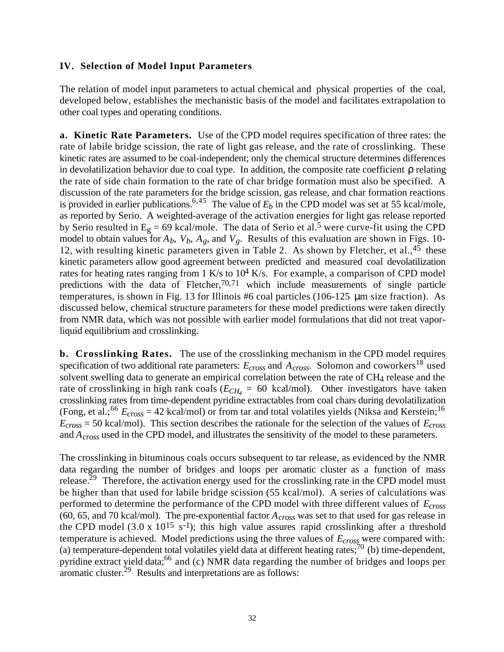#### **IV. Selection of Model Input Parameters**

The relation of model input parameters to actual chemical and physical properties of the coal, developed below, establishes the mechanistic basis of the model and facilitates extrapolation to other coal types and operating conditions.

**a. Kinetic Rate Parameters.** Use of the CPD model requires specification of three rates: the rate of labile bridge scission, the rate of light gas release, and the rate of crosslinking. These kinetic rates are assumed to be coal-independent; only the chemical structure determines differences in devolatilization behavior due to coal type. In addition, the composite rate coefficient relating the rate of side chain formation to the rate of char bridge formation must also be specified. A discussion of the rate parameters for the bridge scission, gas release, and char formation reactions is provided in earlier publications.<sup>6,45</sup> The value of  $E<sub>b</sub>$  in the CPD model was set at 55 kcal/mole, as reported by Serio. A weighted-average of the activation energies for light gas release reported by Serio resulted in  $E_g = 69$  kcal/mole. The data of Serio et al.<sup>5</sup> were curve-fit using the CPD model to obtain values for  $A_b$ ,  $V_b$ ,  $A_g$ , and  $V_g$ . Results of this evaluation are shown in Figs. 10-12, with resulting kinetic parameters given in Table 2. As shown by Fletcher, et al.,  $4\overline{5}$  these kinetic parameters allow good agreement between predicted and measured coal devolatilization rates for heating rates ranging from  $1$  K/s to  $10^4$  K/s. For example, a comparison of CPD model predictions with the data of Fletcher,  $70,71$  which include measurements of single particle temperatures, is shown in Fig. 13 for Illinois #6 coal particles (106-125 μm size fraction). As discussed below, chemical structure parameters for these model predictions were taken directly from NMR data, which was not possible with earlier model formulations that did not treat vaporliquid equilibrium and crosslinking.

**b. Crosslinking Rates.** The use of the crosslinking mechanism in the CPD model requires specification of two additional rate parameters:  $E<sub>cross</sub>$  and  $A<sub>cross</sub>$ . Solomon and coworkers<sup>18</sup> used solvent swelling data to generate an empirical correlation between the rate of CH4 release and the rate of crosslinking in high rank coals ( $E_{CH_4} = 60$  kcal/mol). Other investigators have taken crosslinking rates from time-dependent pyridine extractables from coal chars during devolatilization (Fong, et al.;<sup>66</sup>  $E_{cross}$  = 42 kcal/mol) or from tar and total volatiles yields (Niksa and Kerstein;<sup>16</sup>) *Ecross* = 50 kcal/mol). This section describes the rationale for the selection of the values of *Ecross* and *Across* used in the CPD model, and illustrates the sensitivity of the model to these parameters.

The crosslinking in bituminous coals occurs subsequent to tar release, as evidenced by the NMR data regarding the number of bridges and loops per aromatic cluster as a function of mass release.<sup>29</sup> Therefore, the activation energy used for the crosslinking rate in the CPD model must be higher than that used for labile bridge scission (55 kcal/mol). A series of calculations was performed to determine the performance of the CPD model with three different values of *Ecross* (60, 65, and 70 kcal/mol). The pre-exponential factor *Across* was set to that used for gas release in the CPD model (3.0 x 10<sup>15</sup> s<sup>-1</sup>); this high value assures rapid crosslinking after a threshold temperature is achieved. Model predictions using the three values of *Ecross* were compared with: (a) temperature-dependent total volatiles yield data at different heating rates; $^{70}$  (b) time-dependent, pyridine extract yield data;66 and (c) NMR data regarding the number of bridges and loops per aromatic cluster.<sup>29</sup> Results and interpretations are as follows: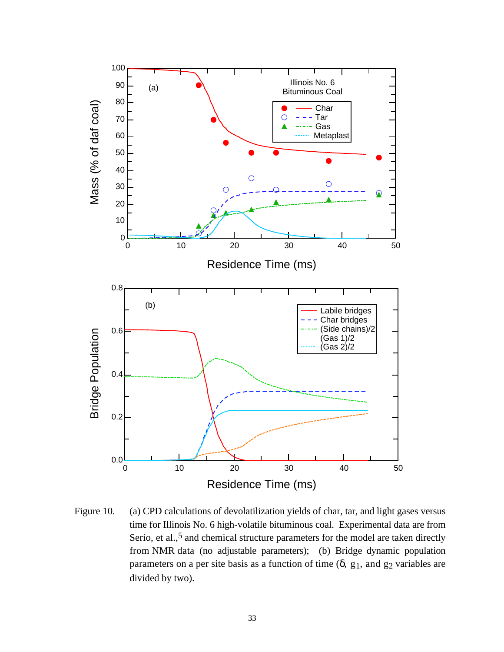

Figure 10. (a) CPD calculations of devolatilization yields of char, tar, and light gases versus time for Illinois No. 6 high-volatile bituminous coal. Experimental data are from Serio, et al.,<sup>5</sup> and chemical structure parameters for the model are taken directly from NMR data (no adjustable parameters); (b) Bridge dynamic population parameters on a per site basis as a function of time  $($ ,  $g_1$ , and  $g_2$  variables are divided by two).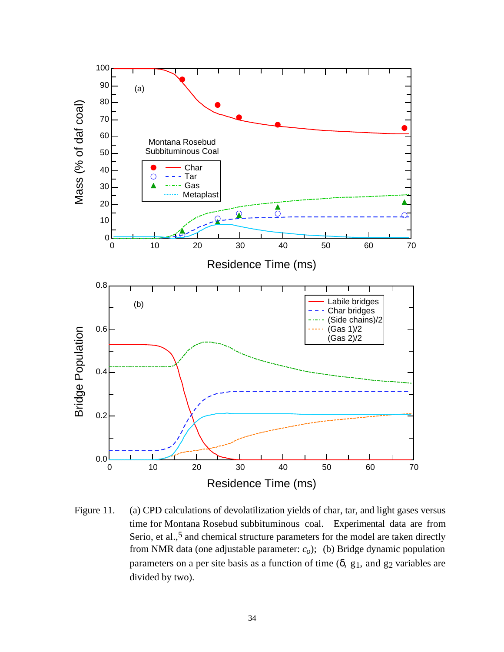

Figure 11. (a) CPD calculations of devolatilization yields of char, tar, and light gases versus time for Montana Rosebud subbituminous coal. Experimental data are from Serio, et al.,<sup>5</sup> and chemical structure parameters for the model are taken directly from NMR data (one adjustable parameter: *co*); (b) Bridge dynamic population parameters on a per site basis as a function of time  $($ ,  $g_1$ , and  $g_2$  variables are divided by two).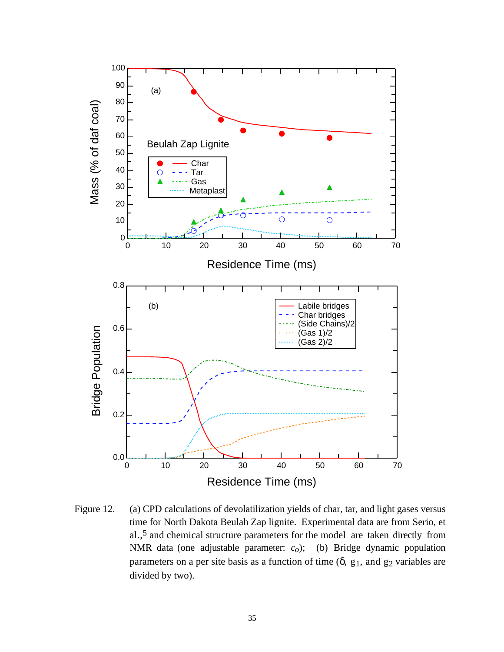

Figure 12. (a) CPD calculations of devolatilization yields of char, tar, and light gases versus time for North Dakota Beulah Zap lignite. Experimental data are from Serio, et al.,5 and chemical structure parameters for the model are taken directly from NMR data (one adjustable parameter: *co*); (b) Bridge dynamic population parameters on a per site basis as a function of time  $($ ,  $g_1$ , and  $g_2$  variables are divided by two).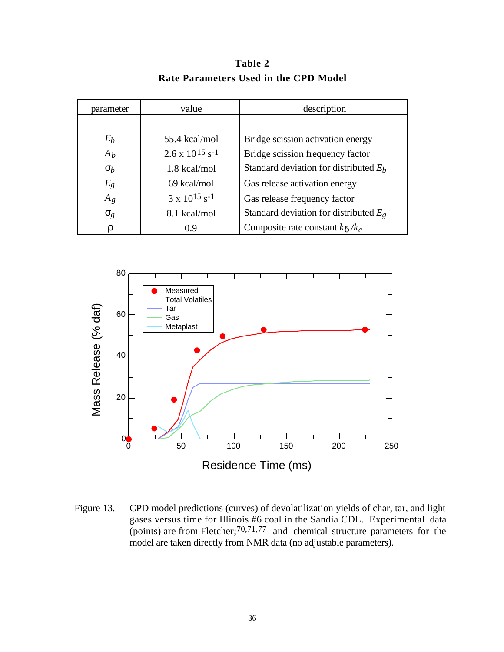parameter value value description  $E_b$  55.4 kcal/mol Bridge scission activation energy  $A_b$  2.6 x 10<sup>15</sup> s<sup>-1</sup> Bridge scission frequency factor *b* 1.8 kcal/mol Standard deviation for distributed  $E_b$  $E_g$  69 kcal/mol Gas release activation energy  $A_g$  3 x 10<sup>15</sup> s<sup>-1</sup> Gas release frequency factor *g* 8.1 kcal/mol Standard deviation for distributed *Eg* 0.9 Composite rate constant *k /kc*

**Table 2 Rate Parameters Used in the CPD Model**



Figure 13. CPD model predictions (curves) of devolatilization yields of char, tar, and light gases versus time for Illinois #6 coal in the Sandia CDL. Experimental data (points) are from Fletcher;  $70,71,77$  and chemical structure parameters for the model are taken directly from NMR data (no adjustable parameters).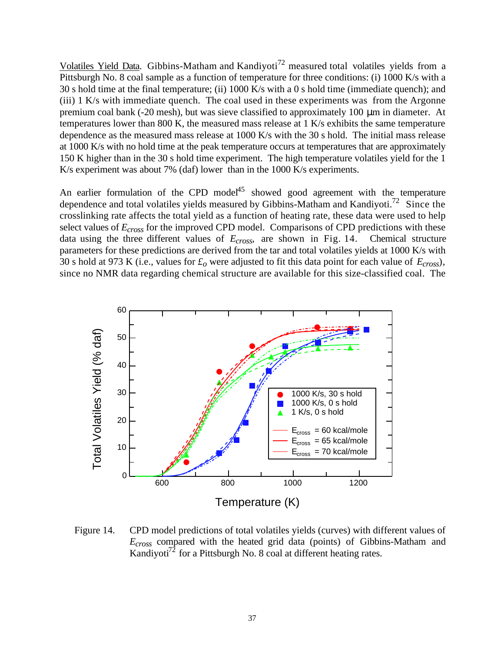Volatiles Yield Data. Gibbins-Matham and Kandiyoti<sup>72</sup> measured total volatiles yields from a Pittsburgh No. 8 coal sample as a function of temperature for three conditions: (i) 1000 K/s with a 30 s hold time at the final temperature; (ii) 1000 K/s with a 0 s hold time (immediate quench); and (iii) 1 K/s with immediate quench. The coal used in these experiments was from the Argonne premium coal bank (-20 mesh), but was sieve classified to approximately 100 μm in diameter. At temperatures lower than 800 K, the measured mass release at 1 K/s exhibits the same temperature dependence as the measured mass release at 1000 K/s with the 30 s hold. The initial mass release at 1000 K/s with no hold time at the peak temperature occurs at temperatures that are approximately 150 K higher than in the 30 s hold time experiment. The high temperature volatiles yield for the 1 K/s experiment was about 7% (daf) lower than in the 1000 K/s experiments.

An earlier formulation of the CPD model<sup>45</sup> showed good agreement with the temperature dependence and total volatiles yields measured by Gibbins-Matham and Kandiyoti.<sup>72</sup> Since the crosslinking rate affects the total yield as a function of heating rate, these data were used to help select values of *Ecross* for the improved CPD model. Comparisons of CPD predictions with these data using the three different values of *Ecross*, are shown in Fig. 14. Chemical structure parameters for these predictions are derived from the tar and total volatiles yields at 1000 K/s with 30 s hold at 973 K (i.e., values for *£o* were adjusted to fit this data point for each value of *Ecross*), since no NMR data regarding chemical structure are available for this size-classified coal. The



Figure 14. CPD model predictions of total volatiles yields (curves) with different values of *Ecross* compared with the heated grid data (points) of Gibbins-Matham and Kandiyoti<sup>72</sup> for a Pittsburgh No. 8 coal at different heating rates.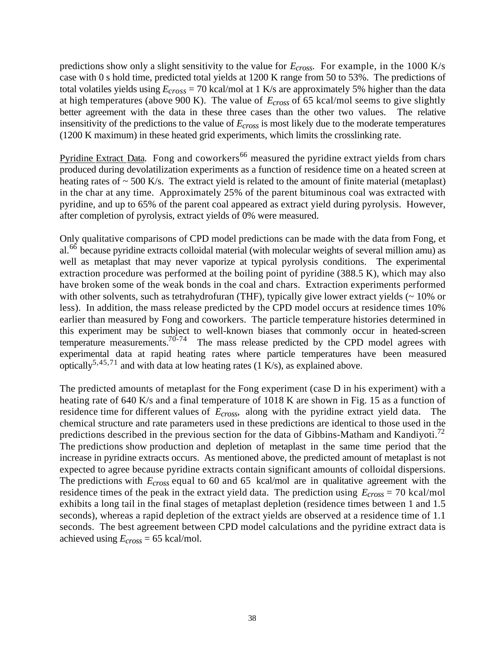predictions show only a slight sensitivity to the value for *Ecross*. For example, in the 1000 K/s case with 0 s hold time, predicted total yields at 1200 K range from 50 to 53%. The predictions of total volatiles yields using *Ecross* = 70 kcal/mol at 1 K/s are approximately 5% higher than the data at high temperatures (above 900 K). The value of *Ecross* of 65 kcal/mol seems to give slightly better agreement with the data in these three cases than the other two values. The relative insensitivity of the predictions to the value of *Ecross* is most likely due to the moderate temperatures (1200 K maximum) in these heated grid experiments, which limits the crosslinking rate.

Pyridine Extract Data. Fong and coworkers<sup>66</sup> measured the pyridine extract yields from chars produced during devolatilization experiments as a function of residence time on a heated screen at heating rates of  $\sim$  500 K/s. The extract yield is related to the amount of finite material (metaplast) in the char at any time. Approximately 25% of the parent bituminous coal was extracted with pyridine, and up to 65% of the parent coal appeared as extract yield during pyrolysis. However, after completion of pyrolysis, extract yields of 0% were measured.

Only qualitative comparisons of CPD model predictions can be made with the data from Fong, et al.<sup>66</sup> because pyridine extracts colloidal material (with molecular weights of several million amu) as well as metaplast that may never vaporize at typical pyrolysis conditions. The experimental extraction procedure was performed at the boiling point of pyridine (388.5 K), which may also have broken some of the weak bonds in the coal and chars. Extraction experiments performed with other solvents, such as tetrahydrofuran (THF), typically give lower extract yields (~ 10% or less). In addition, the mass release predicted by the CPD model occurs at residence times 10% earlier than measured by Fong and coworkers. The particle temperature histories determined in this experiment may be subject to well-known biases that commonly occur in heated-screen temperature measurements.<sup>70-74</sup> The mass release predicted by the CPD model agrees with experimental data at rapid heating rates where particle temperatures have been measured optically<sup>5,45,71</sup> and with data at low heating rates (1 K/s), as explained above.

The predicted amounts of metaplast for the Fong experiment (case D in his experiment) with a heating rate of 640 K/s and a final temperature of 1018 K are shown in Fig. 15 as a function of residence time for different values of *Ecross*, along with the pyridine extract yield data. The chemical structure and rate parameters used in these predictions are identical to those used in the predictions described in the previous section for the data of Gibbins-Matham and Kandiyoti.<sup>72</sup> The predictions show production and depletion of metaplast in the same time period that the increase in pyridine extracts occurs. As mentioned above, the predicted amount of metaplast is not expected to agree because pyridine extracts contain significant amounts of colloidal dispersions. The predictions with *Ecross* equal to 60 and 65 kcal/mol are in qualitative agreement with the residence times of the peak in the extract yield data. The prediction using *Ecross* = 70 kcal/mol exhibits a long tail in the final stages of metaplast depletion (residence times between 1 and 1.5 seconds), whereas a rapid depletion of the extract yields are observed at a residence time of 1.1 seconds. The best agreement between CPD model calculations and the pyridine extract data is achieved using *Ecross* = 65 kcal/mol.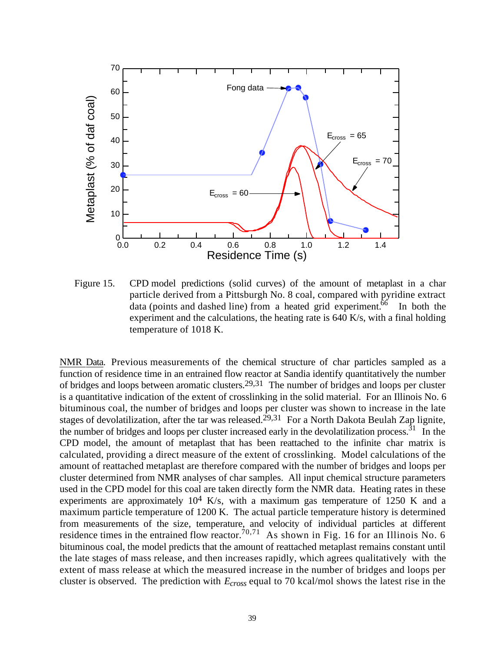

Figure 15. CPD model predictions (solid curves) of the amount of metaplast in a char particle derived from a Pittsburgh No. 8 coal, compared with pyridine extract data (points and dashed line) from a heated grid experiment.<sup>66</sup> In both the experiment and the calculations, the heating rate is 640 K/s, with a final holding temperature of 1018 K.

NMR Data. Previous measurements of the chemical structure of char particles sampled as a function of residence time in an entrained flow reactor at Sandia identify quantitatively the number of bridges and loops between aromatic clusters.29,31 The number of bridges and loops per cluster is a quantitative indication of the extent of crosslinking in the solid material. For an Illinois No. 6 bituminous coal, the number of bridges and loops per cluster was shown to increase in the late stages of devolatilization, after the tar was released.<sup>29,31</sup> For a North Dakota Beulah Zap lignite, the number of bridges and loops per cluster increased early in the devolatilization process.<sup>31</sup> In the CPD model, the amount of metaplast that has been reattached to the infinite char matrix is calculated, providing a direct measure of the extent of crosslinking. Model calculations of the amount of reattached metaplast are therefore compared with the number of bridges and loops per cluster determined from NMR analyses of char samples. All input chemical structure parameters used in the CPD model for this coal are taken directly form the NMR data. Heating rates in these experiments are approximately  $10^4$  K/s, with a maximum gas temperature of 1250 K and a maximum particle temperature of 1200 K. The actual particle temperature history is determined from measurements of the size, temperature, and velocity of individual particles at different residence times in the entrained flow reactor.<sup>70,71</sup> As shown in Fig. 16 for an Illinois No. 6 bituminous coal, the model predicts that the amount of reattached metaplast remains constant until the late stages of mass release, and then increases rapidly, which agrees qualitatively with the extent of mass release at which the measured increase in the number of bridges and loops per cluster is observed. The prediction with *Ecross* equal to 70 kcal/mol shows the latest rise in the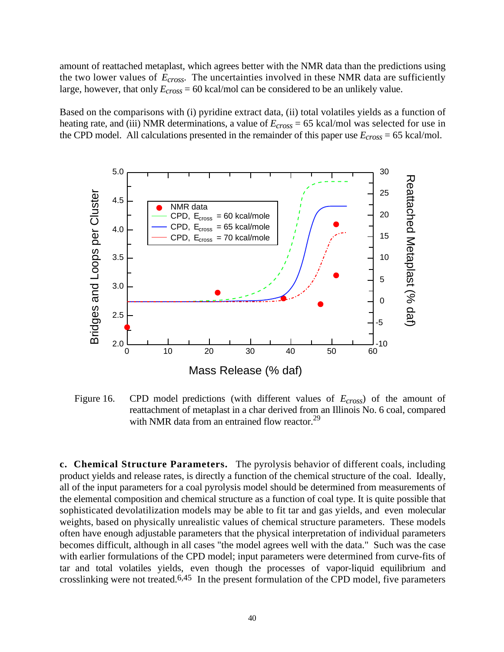amount of reattached metaplast, which agrees better with the NMR data than the predictions using the two lower values of *Ecross*. The uncertainties involved in these NMR data are sufficiently large, however, that only *Ecross* = 60 kcal/mol can be considered to be an unlikely value.

Based on the comparisons with (i) pyridine extract data, (ii) total volatiles yields as a function of heating rate, and (iii) NMR determinations, a value of *Ecross* = 65 kcal/mol was selected for use in the CPD model. All calculations presented in the remainder of this paper use *Ecross* = 65 kcal/mol.



Figure 16. CPD model predictions (with different values of *Ecross*) of the amount of reattachment of metaplast in a char derived from an Illinois No. 6 coal, compared with NMR data from an entrained flow reactor. $^{29}$ 

**c. Chemical Structure Parameters.** The pyrolysis behavior of different coals, including product yields and release rates, is directly a function of the chemical structure of the coal. Ideally, all of the input parameters for a coal pyrolysis model should be determined from measurements of the elemental composition and chemical structure as a function of coal type. It is quite possible that sophisticated devolatilization models may be able to fit tar and gas yields, and even molecular weights, based on physically unrealistic values of chemical structure parameters. These models often have enough adjustable parameters that the physical interpretation of individual parameters becomes difficult, although in all cases "the model agrees well with the data." Such was the case with earlier formulations of the CPD model; input parameters were determined from curve-fits of tar and total volatiles yields, even though the processes of vapor-liquid equilibrium and crosslinking were not treated.<sup>6,45</sup> In the present formulation of the CPD model, five parameters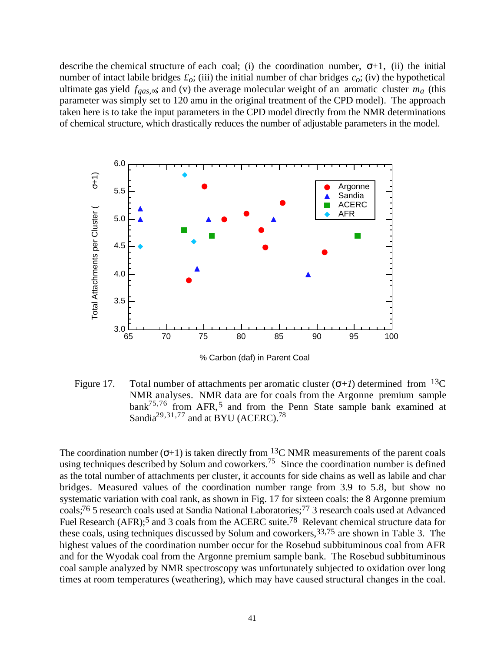describe the chemical structure of each coal; (i) the coordination number,  $+1$ , (ii) the initial number of intact labile bridges  $f_o$ ; (iii) the initial number of char bridges  $c_o$ ; (iv) the hypothetical ultimate gas yield  $f_{gas}$ ; and (v) the average molecular weight of an aromatic cluster  $m_a$  (this parameter was simply set to 120 amu in the original treatment of the CPD model). The approach taken here is to take the input parameters in the CPD model directly from the NMR determinations of chemical structure, which drastically reduces the number of adjustable parameters in the model.



% Carbon (daf) in Parent Coal

Figure 17. Total number of attachments per aromatic cluster  $( +1)$  determined from <sup>13</sup>C NMR analyses. NMR data are for coals from the Argonne premium sample bank<sup>75,76</sup> from AFR,<sup>5</sup> and from the Penn State sample bank examined at Sandia<sup>29,31,77</sup> and at BYU (ACERC).<sup>78</sup>

The coordination number  $( +1)$  is taken directly from <sup>13</sup>C NMR measurements of the parent coals using techniques described by Solum and coworkers.<sup>75</sup> Since the coordination number is defined as the total number of attachments per cluster, it accounts for side chains as well as labile and char bridges. Measured values of the coordination number range from 3.9 to 5.8, but show no systematic variation with coal rank, as shown in Fig. 17 for sixteen coals: the 8 Argonne premium coals;76 5 research coals used at Sandia National Laboratories;77 3 research coals used at Advanced Fuel Research (AFR);<sup>5</sup> and 3 coals from the ACERC suite.<sup>78</sup> Relevant chemical structure data for these coals, using techniques discussed by Solum and coworkers, 33,75 are shown in Table 3. The highest values of the coordination number occur for the Rosebud subbituminous coal from AFR and for the Wyodak coal from the Argonne premium sample bank. The Rosebud subbituminous coal sample analyzed by NMR spectroscopy was unfortunately subjected to oxidation over long times at room temperatures (weathering), which may have caused structural changes in the coal.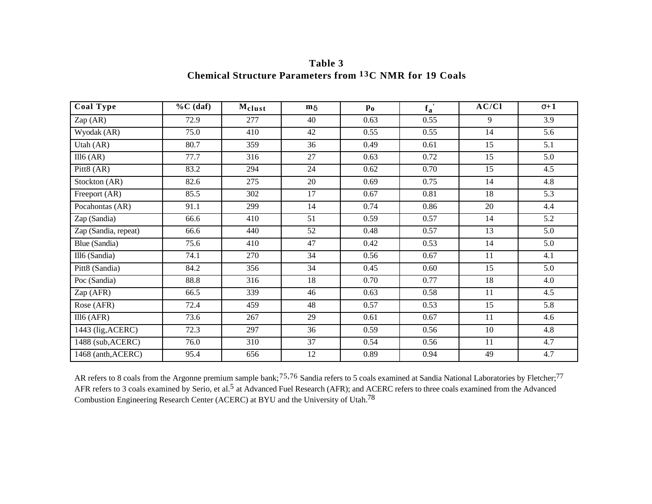| Coal Type            | $\%C$ (daf) | Melust | m  | $\mathbf{p}_0$ | $\overline{f_a}$ | AC/CI | $+1$ |
|----------------------|-------------|--------|----|----------------|------------------|-------|------|
| Zap (AR)             | 72.9        | 277    | 40 | 0.63           | 0.55             | 9     | 3.9  |
| Wyodak (AR)          | 75.0        | 410    | 42 | 0.55           | 0.55             | 14    | 5.6  |
| Utah (AR)            | 80.7        | 359    | 36 | 0.49           | 0.61             | 15    | 5.1  |
| III6 (AR)            | 77.7        | 316    | 27 | 0.63           | 0.72             | 15    | 5.0  |
| Pitt8 (AR)           | 83.2        | 294    | 24 | 0.62           | 0.70             | 15    | 4.5  |
| Stockton (AR)        | 82.6        | 275    | 20 | 0.69           | 0.75             | 14    | 4.8  |
| Freeport (AR)        | 85.5        | 302    | 17 | 0.67           | 0.81             | 18    | 5.3  |
| Pocahontas (AR)      | 91.1        | 299    | 14 | 0.74           | 0.86             | 20    | 4.4  |
| Zap (Sandia)         | 66.6        | 410    | 51 | 0.59           | 0.57             | 14    | 5.2  |
| Zap (Sandia, repeat) | 66.6        | 440    | 52 | 0.48           | 0.57             | 13    | 5.0  |
| Blue (Sandia)        | 75.6        | 410    | 47 | 0.42           | 0.53             | 14    | 5.0  |
| Ill6 (Sandia)        | 74.1        | 270    | 34 | 0.56           | 0.67             | 11    | 4.1  |
| Pitt8 (Sandia)       | 84.2        | 356    | 34 | 0.45           | 0.60             | 15    | 5.0  |
| Poc (Sandia)         | 88.8        | 316    | 18 | 0.70           | 0.77             | 18    | 4.0  |
| Zap (AFR)            | 66.5        | 339    | 46 | 0.63           | 0.58             | 11    | 4.5  |
| Rose (AFR)           | 72.4        | 459    | 48 | 0.57           | 0.53             | 15    | 5.8  |
| $III6$ (AFR)         | 73.6        | 267    | 29 | 0.61           | 0.67             | 11    | 4.6  |
| 1443 (lig, ACERC)    | 72.3        | 297    | 36 | 0.59           | 0.56             | 10    | 4.8  |
| 1488 (sub, ACERC)    | 76.0        | 310    | 37 | 0.54           | 0.56             | 11    | 4.7  |
| 1468 (anth, ACERC)   | 95.4        | 656    | 12 | 0.89           | 0.94             | 49    | 4.7  |

**Table 3 Chemical Structure Parameters from 13C NMR for 19 Coals**

AR refers to 8 coals from the Argonne premium sample bank;<sup>75,76</sup> Sandia refers to 5 coals examined at Sandia National Laboratories by Fletcher;<sup>77</sup> AFR refers to 3 coals examined by Serio, et al.<sup>5</sup> at Advanced Fuel Research (AFR); and ACERC refers to three coals examined from the Advanced Combustion Engineering Research Center (ACERC) at BYU and the University of Utah.78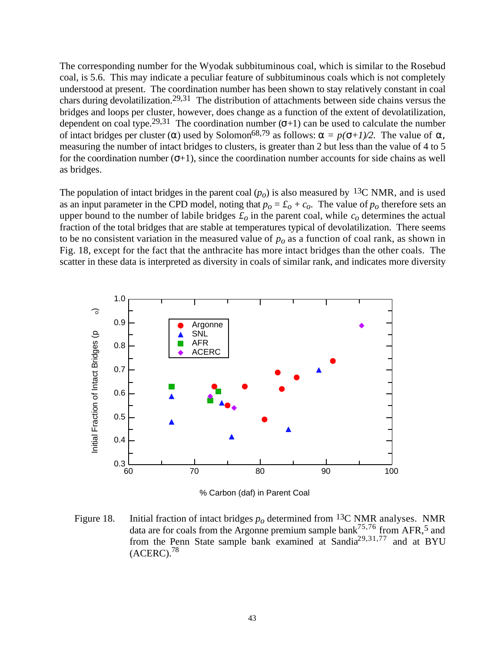The corresponding number for the Wyodak subbituminous coal, which is similar to the Rosebud coal, is 5.6. This may indicate a peculiar feature of subbituminous coals which is not completely understood at present. The coordination number has been shown to stay relatively constant in coal chars during devolatilization.29,31 The distribution of attachments between side chains versus the bridges and loops per cluster, however, does change as a function of the extent of devolatilization, dependent on coal type.29,31 The coordination number ( *+*1) can be used to calculate the number of intact bridges per cluster () used by Solomon<sup>68,79</sup> as follows:  $= p(-1)/2$ . The value of measuring the number of intact bridges to clusters, is greater than 2 but less than the value of 4 to 5 for the coordination number  $( +1)$ , since the coordination number accounts for side chains as well as bridges.

The population of intact bridges in the parent coal  $(p<sub>o</sub>)$  is also measured by <sup>13</sup>C NMR, and is used as an input parameter in the CPD model, noting that  $p_o = \mathcal{L}_o + \mathcal{L}_o$ . The value of  $p_o$  therefore sets an upper bound to the number of labile bridges  $f<sub>o</sub>$  in the parent coal, while  $c<sub>o</sub>$  determines the actual fraction of the total bridges that are stable at temperatures typical of devolatilization. There seems to be no consistent variation in the measured value of *po* as a function of coal rank, as shown in Fig. 18, except for the fact that the anthracite has more intact bridges than the other coals. The scatter in these data is interpreted as diversity in coals of similar rank, and indicates more diversity



% Carbon (daf) in Parent Coal

Figure 18. Initial fraction of intact bridges  $p<sub>o</sub>$  determined from <sup>13</sup>C NMR analyses. NMR data are for coals from the Argonne premium sample bank<sup>75,76</sup> from AFR,<sup>5</sup> and from the Penn State sample bank examined at Sandia<sup>29,31,77</sup> and at BYU  $(ACERC)$ <sup>78</sup>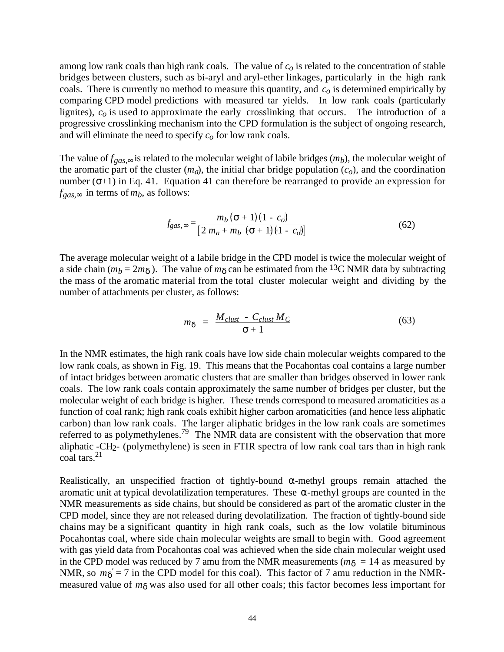among low rank coals than high rank coals. The value of *co* is related to the concentration of stable bridges between clusters, such as bi-aryl and aryl-ether linkages, particularly in the high rank coals. There is currently no method to measure this quantity, and *co* is determined empirically by comparing CPD model predictions with measured tar yields. In low rank coals (particularly lignites), *co* is used to approximate the early crosslinking that occurs. The introduction of a progressive crosslinking mechanism into the CPD formulation is the subject of ongoing research, and will eliminate the need to specify *co* for low rank coals.

The value of  $f_{gas}$ , is related to the molecular weight of labile bridges  $(m_b)$ , the molecular weight of the aromatic part of the cluster  $(m_q)$ , the initial char bridge population  $(c_q)$ , and the coordination number  $( +1)$  in Eq. 41. Equation 41 can therefore be rearranged to provide an expression for  $f_{gas}$  in terms of  $m_b$ , as follows:

$$
f_{gas,} = \frac{m_b ( + 1) (1 - c_o)}{[2 m_a + m_b ( + 1) (1 - c_o)]}
$$
 (62)

The average molecular weight of a labile bridge in the CPD model is twice the molecular weight of a side chain ( $m_b = 2m$ ). The value of m can be estimated from the <sup>13</sup>C NMR data by subtracting the mass of the aromatic material from the total cluster molecular weight and dividing by the number of attachments per cluster, as follows:

$$
m = \frac{M_{\text{clust}} - C_{\text{clust}} M_C}{+1} \tag{63}
$$

In the NMR estimates, the high rank coals have low side chain molecular weights compared to the low rank coals, as shown in Fig. 19. This means that the Pocahontas coal contains a large number of intact bridges between aromatic clusters that are smaller than bridges observed in lower rank coals. The low rank coals contain approximately the same number of bridges per cluster, but the molecular weight of each bridge is higher. These trends correspond to measured aromaticities as a function of coal rank; high rank coals exhibit higher carbon aromaticities (and hence less aliphatic carbon) than low rank coals. The larger aliphatic bridges in the low rank coals are sometimes referred to as polymethylenes.79 The NMR data are consistent with the observation that more aliphatic -CH2- (polymethylene) is seen in FTIR spectra of low rank coal tars than in high rank coal tars.<sup>21</sup>

Realistically, an unspecified fraction of tightly-bound -methyl groups remain attached the aromatic unit at typical devolatilization temperatures. These -methyl groups are counted in the NMR measurements as side chains, but should be considered as part of the aromatic cluster in the CPD model, since they are not released during devolatilization. The fraction of tightly-bound side chains may be a significant quantity in high rank coals, such as the low volatile bituminous Pocahontas coal, where side chain molecular weights are small to begin with. Good agreement with gas yield data from Pocahontas coal was achieved when the side chain molecular weight used in the CPD model was reduced by 7 amu from the NMR measurements  $(m = 14$  as measured by NMR, so  $m' = 7$  in the CPD model for this coal). This factor of 7 amu reduction in the NMRmeasured value of *m* was also used for all other coals; this factor becomes less important for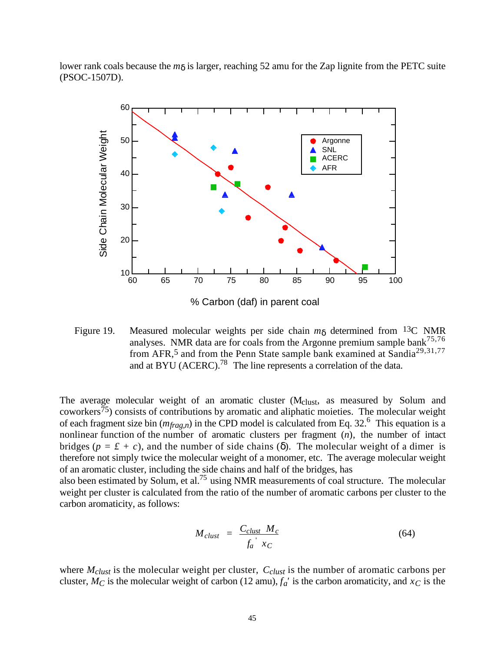lower rank coals because the *m* is larger, reaching 52 amu for the Zap lignite from the PETC suite (PSOC-1507D).



Figure 19. Measured molecular weights per side chain *m* determined from 13C NMR analyses. NMR data are for coals from the Argonne premium sample bank<sup>75,76</sup> from AFR,<sup>5</sup> and from the Penn State sample bank examined at Sandia<sup>29,31,77</sup> and at BYU (ACERC).<sup>78</sup> The line represents a correlation of the data.

The average molecular weight of an aromatic cluster (Mclust, as measured by Solum and coworkers75) consists of contributions by aromatic and aliphatic moieties. The molecular weight of each fragment size bin  $(m_{frag,n})$  in the CPD model is calculated from Eq. 32.<sup>6</sup> This equation is a nonlinear function of the number of aromatic clusters per fragment (*n*), the number of intact bridges ( $p = \pounds + c$ ), and the number of side chains (). The molecular weight of a dimer is therefore not simply twice the molecular weight of a monomer, etc. The average molecular weight of an aromatic cluster, including the side chains and half of the bridges, has

also been estimated by Solum, et al.75 using NMR measurements of coal structure. The molecular weight per cluster is calculated from the ratio of the number of aromatic carbons per cluster to the carbon aromaticity, as follows:

$$
M_{\text{clust}} = \frac{C_{\text{clust}} M_c}{f_a^{'} X_C} \tag{64}
$$

where *Mclust* is the molecular weight per cluster, *Cclust* is the number of aromatic carbons per cluster,  $M_C$  is the molecular weight of carbon (12 amu),  $f_a'$  is the carbon aromaticity, and  $x_C$  is the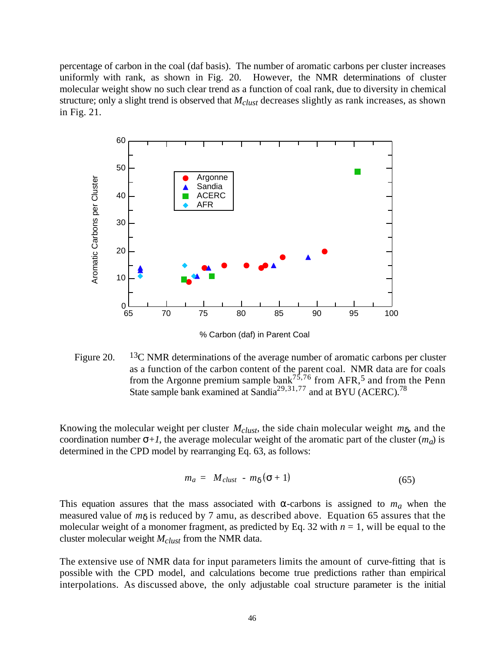percentage of carbon in the coal (daf basis). The number of aromatic carbons per cluster increases uniformly with rank, as shown in Fig. 20. However, the NMR determinations of cluster molecular weight show no such clear trend as a function of coal rank, due to diversity in chemical structure; only a slight trend is observed that *Mclust* decreases slightly as rank increases, as shown in Fig. 21.



Figure 20. <sup>13</sup>C NMR determinations of the average number of aromatic carbons per cluster as a function of the carbon content of the parent coal. NMR data are for coals from the Argonne premium sample bank<sup>75,76</sup> from AFR,<sup>5</sup> and from the Penn State sample bank examined at Sandia<sup>29,31,77</sup> and at BYU (ACERC).<sup>78</sup>

Knowing the molecular weight per cluster *Mclust*, the side chain molecular weight *m* , and the coordination number  $+1$ , the average molecular weight of the aromatic part of the cluster  $(m_a)$  is determined in the CPD model by rearranging Eq. 63, as follows:

$$
m_a = M_{\text{clust}} - m \left( +1 \right) \tag{65}
$$

This equation assures that the mass associated with -carbons is assigned to  $m_a$  when the measured value of *m* is reduced by 7 amu, as described above. Equation 65 assures that the molecular weight of a monomer fragment, as predicted by Eq. 32 with  $n = 1$ , will be equal to the cluster molecular weight *Mclust* from the NMR data.

The extensive use of NMR data for input parameters limits the amount of curve-fitting that is possible with the CPD model, and calculations become true predictions rather than empirical interpolations. As discussed above, the only adjustable coal structure parameter is the initial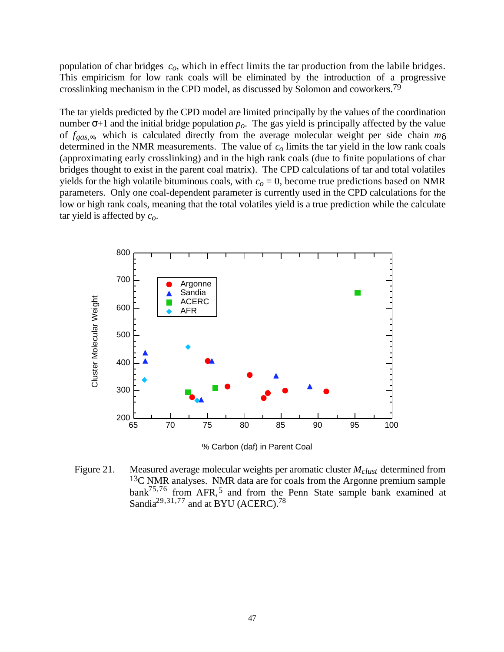population of char bridges *co*, which in effect limits the tar production from the labile bridges. This empiricism for low rank coals will be eliminated by the introduction of a progressive crosslinking mechanism in the CPD model, as discussed by Solomon and coworkers.79

The tar yields predicted by the CPD model are limited principally by the values of the coordination number  $+1$  and the initial bridge population  $p<sub>o</sub>$ . The gas yield is principally affected by the value of *fgas,* , which is calculated directly from the average molecular weight per side chain *m* determined in the NMR measurements. The value of *co* limits the tar yield in the low rank coals (approximating early crosslinking) and in the high rank coals (due to finite populations of char bridges thought to exist in the parent coal matrix). The CPD calculations of tar and total volatiles yields for the high volatile bituminous coals, with  $c<sub>o</sub> = 0$ , become true predictions based on NMR parameters. Only one coal-dependent parameter is currently used in the CPD calculations for the low or high rank coals, meaning that the total volatiles yield is a true prediction while the calculate tar yield is affected by *co*.



Figure 21. Measured average molecular weights per aromatic cluster *Mclust* determined from 13C NMR analyses. NMR data are for coals from the Argonne premium sample bank<sup>75,76</sup> from AFR,<sup>5</sup> and from the Penn State sample bank examined at Sandia<sup>29,31,77</sup> and at BYU (ACERC).<sup>78</sup>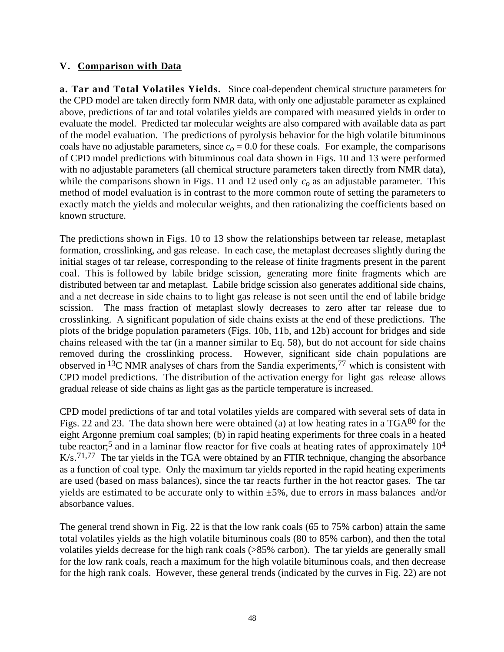## **V. Comparison with Data**

**a. Tar and Total Volatiles Yields.** Since coal-dependent chemical structure parameters for the CPD model are taken directly form NMR data, with only one adjustable parameter as explained above, predictions of tar and total volatiles yields are compared with measured yields in order to evaluate the model. Predicted tar molecular weights are also compared with available data as part of the model evaluation. The predictions of pyrolysis behavior for the high volatile bituminous coals have no adjustable parameters, since  $c<sub>o</sub> = 0.0$  for these coals. For example, the comparisons of CPD model predictions with bituminous coal data shown in Figs. 10 and 13 were performed with no adjustable parameters (all chemical structure parameters taken directly from NMR data), while the comparisons shown in Figs. 11 and 12 used only  $c<sub>o</sub>$  as an adjustable parameter. This method of model evaluation is in contrast to the more common route of setting the parameters to exactly match the yields and molecular weights, and then rationalizing the coefficients based on known structure.

The predictions shown in Figs. 10 to 13 show the relationships between tar release, metaplast formation, crosslinking, and gas release. In each case, the metaplast decreases slightly during the initial stages of tar release, corresponding to the release of finite fragments present in the parent coal. This is followed by labile bridge scission, generating more finite fragments which are distributed between tar and metaplast. Labile bridge scission also generates additional side chains, and a net decrease in side chains to to light gas release is not seen until the end of labile bridge scission. The mass fraction of metaplast slowly decreases to zero after tar release due to crosslinking. A significant population of side chains exists at the end of these predictions. The plots of the bridge population parameters (Figs. 10b, 11b, and 12b) account for bridges and side chains released with the tar (in a manner similar to Eq. 58), but do not account for side chains removed during the crosslinking process. However, significant side chain populations are observed in 13C NMR analyses of chars from the Sandia experiments,77 which is consistent with CPD model predictions. The distribution of the activation energy for light gas release allows gradual release of side chains as light gas as the particle temperature is increased.

CPD model predictions of tar and total volatiles yields are compared with several sets of data in Figs. 22 and 23. The data shown here were obtained (a) at low heating rates in a TGA80 for the eight Argonne premium coal samples; (b) in rapid heating experiments for three coals in a heated tube reactor;5 and in a laminar flow reactor for five coals at heating rates of approximately 104  $K/s$ .<sup>71,77</sup> The tar yields in the TGA were obtained by an FTIR technique, changing the absorbance as a function of coal type. Only the maximum tar yields reported in the rapid heating experiments are used (based on mass balances), since the tar reacts further in the hot reactor gases. The tar yields are estimated to be accurate only to within  $\pm 5\%$ , due to errors in mass balances and/or absorbance values.

The general trend shown in Fig. 22 is that the low rank coals (65 to 75% carbon) attain the same total volatiles yields as the high volatile bituminous coals (80 to 85% carbon), and then the total volatiles yields decrease for the high rank coals (>85% carbon). The tar yields are generally small for the low rank coals, reach a maximum for the high volatile bituminous coals, and then decrease for the high rank coals. However, these general trends (indicated by the curves in Fig. 22) are not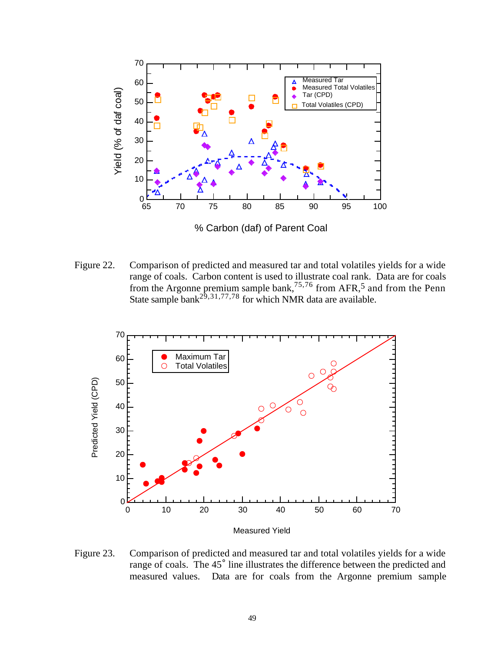

% Carbon (daf) of Parent Coal

Figure 22. Comparison of predicted and measured tar and total volatiles yields for a wide range of coals. Carbon content is used to illustrate coal rank. Data are for coals from the Argonne premium sample bank,  $75,76$  from AFR, 5 and from the Penn State sample bank<sup>29,31,77,78</sup> for which NMR data are available.



Figure 23. Comparison of predicted and measured tar and total volatiles yields for a wide range of coals. The 45° line illustrates the difference between the predicted and measured values. Data are for coals from the Argonne premium sample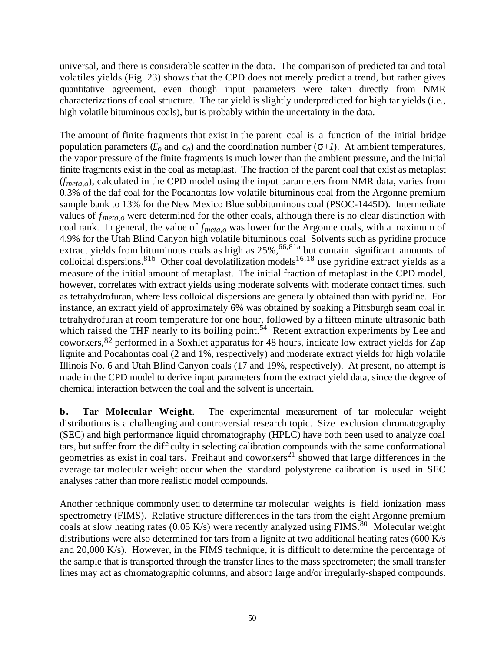universal, and there is considerable scatter in the data. The comparison of predicted tar and total volatiles yields (Fig. 23) shows that the CPD does not merely predict a trend, but rather gives quantitative agreement, even though input parameters were taken directly from NMR characterizations of coal structure. The tar yield is slightly underpredicted for high tar yields (i.e., high volatile bituminous coals), but is probably within the uncertainty in the data.

The amount of finite fragments that exist in the parent coal is a function of the initial bridge population parameters  $(f_o \text{ and } c_o)$  and the coordination number  $( +1)$ . At ambient temperatures, the vapor pressure of the finite fragments is much lower than the ambient pressure, and the initial finite fragments exist in the coal as metaplast. The fraction of the parent coal that exist as metaplast (*fmeta,o*), calculated in the CPD model using the input parameters from NMR data, varies from 0.3% of the daf coal for the Pocahontas low volatile bituminous coal from the Argonne premium sample bank to 13% for the New Mexico Blue subbituminous coal (PSOC-1445D). Intermediate values of *fmeta,o* were determined for the other coals, although there is no clear distinction with coal rank. In general, the value of *fmeta,o* was lower for the Argonne coals, with a maximum of 4.9% for the Utah Blind Canyon high volatile bituminous coal Solvents such as pyridine produce extract yields from bituminous coals as high as  $25\%$ ,  $66,81a$  but contain significant amounts of colloidal dispersions. <sup>81b</sup> Other coal devolatilization models<sup>16,18</sup> use pyridine extract yields as a measure of the initial amount of metaplast. The initial fraction of metaplast in the CPD model, however, correlates with extract yields using moderate solvents with moderate contact times, such as tetrahydrofuran, where less colloidal dispersions are generally obtained than with pyridine. For instance, an extract yield of approximately 6% was obtained by soaking a Pittsburgh seam coal in tetrahydrofuran at room temperature for one hour, followed by a fifteen minute ultrasonic bath which raised the THF nearly to its boiling point.<sup>54</sup> Recent extraction experiments by Lee and coworkers,82 performed in a Soxhlet apparatus for 48 hours, indicate low extract yields for Zap lignite and Pocahontas coal (2 and 1%, respectively) and moderate extract yields for high volatile Illinois No. 6 and Utah Blind Canyon coals (17 and 19%, respectively). At present, no attempt is made in the CPD model to derive input parameters from the extract yield data, since the degree of chemical interaction between the coal and the solvent is uncertain.

**b.** Tar Molecular Weight. The experimental measurement of tar molecular weight distributions is a challenging and controversial research topic. Size exclusion chromatography (SEC) and high performance liquid chromatography (HPLC) have both been used to analyze coal tars, but suffer from the difficulty in selecting calibration compounds with the same conformational geometries as exist in coal tars. Freihaut and coworkers<sup>21</sup> showed that large differences in the average tar molecular weight occur when the standard polystyrene calibration is used in SEC analyses rather than more realistic model compounds.

Another technique commonly used to determine tar molecular weights is field ionization mass spectrometry (FIMS). Relative structure differences in the tars from the eight Argonne premium coals at slow heating rates (0.05 K/s) were recently analyzed using  $FIMS$ .<sup>80</sup> Molecular weight distributions were also determined for tars from a lignite at two additional heating rates (600 K/s and 20,000 K/s). However, in the FIMS technique, it is difficult to determine the percentage of the sample that is transported through the transfer lines to the mass spectrometer; the small transfer lines may act as chromatographic columns, and absorb large and/or irregularly-shaped compounds.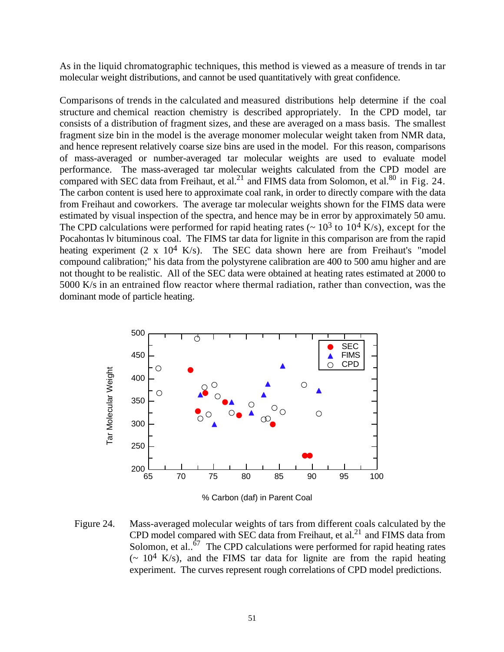As in the liquid chromatographic techniques, this method is viewed as a measure of trends in tar molecular weight distributions, and cannot be used quantitatively with great confidence.

Comparisons of trends in the calculated and measured distributions help determine if the coal structure and chemical reaction chemistry is described appropriately. In the CPD model, tar consists of a distribution of fragment sizes, and these are averaged on a mass basis. The smallest fragment size bin in the model is the average monomer molecular weight taken from NMR data, and hence represent relatively coarse size bins are used in the model. For this reason, comparisons of mass-averaged or number-averaged tar molecular weights are used to evaluate model performance. The mass-averaged tar molecular weights calculated from the CPD model are compared with SEC data from Freihaut, et al.<sup>21</sup> and FIMS data from Solomon, et al.<sup>80</sup> in Fig. 24. The carbon content is used here to approximate coal rank, in order to directly compare with the data from Freihaut and coworkers. The average tar molecular weights shown for the FIMS data were estimated by visual inspection of the spectra, and hence may be in error by approximately 50 amu. The CPD calculations were performed for rapid heating rates ( $\sim 10^3$  to 10<sup>4</sup> K/s), except for the Pocahontas lv bituminous coal. The FIMS tar data for lignite in this comparison are from the rapid heating experiment  $(2 \times 10^4 \text{ K/s})$ . The SEC data shown here are from Freihaut's "model compound calibration;" his data from the polystyrene calibration are 400 to 500 amu higher and are not thought to be realistic. All of the SEC data were obtained at heating rates estimated at 2000 to 5000 K/s in an entrained flow reactor where thermal radiation, rather than convection, was the dominant mode of particle heating.



Figure 24. Mass-averaged molecular weights of tars from different coals calculated by the CPD model compared with SEC data from Freihaut, et al.<sup>21</sup> and FIMS data from Solomon, et al..<sup> $67$ </sup> The CPD calculations were performed for rapid heating rates  $\sim 10^4$  K/s), and the FIMS tar data for lignite are from the rapid heating experiment. The curves represent rough correlations of CPD model predictions.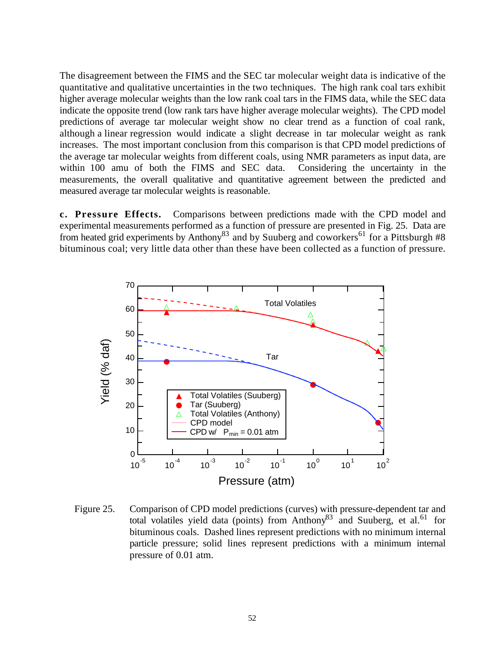The disagreement between the FIMS and the SEC tar molecular weight data is indicative of the quantitative and qualitative uncertainties in the two techniques. The high rank coal tars exhibit higher average molecular weights than the low rank coal tars in the FIMS data, while the SEC data indicate the opposite trend (low rank tars have higher average molecular weights). The CPD model predictions of average tar molecular weight show no clear trend as a function of coal rank, although a linear regression would indicate a slight decrease in tar molecular weight as rank increases. The most important conclusion from this comparison is that CPD model predictions of the average tar molecular weights from different coals, using NMR parameters as input data, are within 100 amu of both the FIMS and SEC data. Considering the uncertainty in the measurements, the overall qualitative and quantitative agreement between the predicted and measured average tar molecular weights is reasonable.

**c. Pressure Effects.** Comparisons between predictions made with the CPD model and experimental measurements performed as a function of pressure are presented in Fig. 25. Data are from heated grid experiments by Anthony<sup>83</sup> and by Suuberg and coworkers<sup>61</sup> for a Pittsburgh #8 bituminous coal; very little data other than these have been collected as a function of pressure.



Figure 25. Comparison of CPD model predictions (curves) with pressure-dependent tar and total volatiles yield data (points) from Anthony<sup>83</sup> and Suuberg, et al.<sup>61</sup> for bituminous coals. Dashed lines represent predictions with no minimum internal particle pressure; solid lines represent predictions with a minimum internal pressure of 0.01 atm.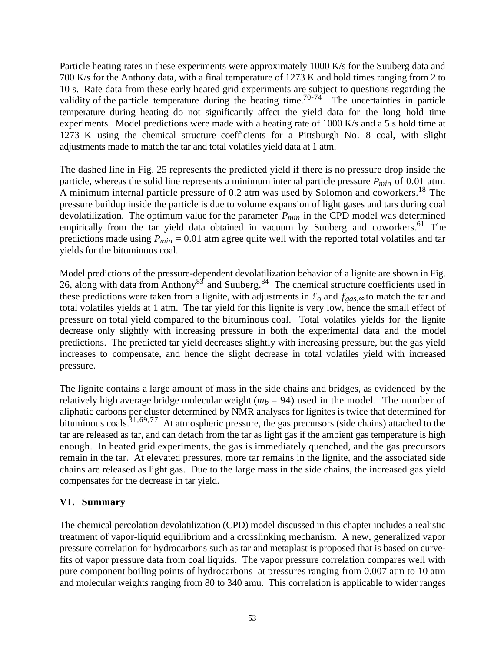Particle heating rates in these experiments were approximately 1000 K/s for the Suuberg data and 700 K/s for the Anthony data, with a final temperature of 1273 K and hold times ranging from 2 to 10 s. Rate data from these early heated grid experiments are subject to questions regarding the validity of the particle temperature during the heating time.<sup>70-74</sup> The uncertainties in particle temperature during heating do not significantly affect the yield data for the long hold time experiments. Model predictions were made with a heating rate of 1000 K/s and a 5 s hold time at 1273 K using the chemical structure coefficients for a Pittsburgh No. 8 coal, with slight adjustments made to match the tar and total volatiles yield data at 1 atm.

The dashed line in Fig. 25 represents the predicted yield if there is no pressure drop inside the particle, whereas the solid line represents a minimum internal particle pressure *Pmin* of 0.01 atm. A minimum internal particle pressure of 0.2 atm was used by Solomon and coworkers.<sup>18</sup> The pressure buildup inside the particle is due to volume expansion of light gases and tars during coal devolatilization. The optimum value for the parameter *Pmin* in the CPD model was determined empirically from the tar yield data obtained in vacuum by Suuberg and coworkers.<sup>61</sup> The predictions made using *Pmin* = 0.01 atm agree quite well with the reported total volatiles and tar yields for the bituminous coal.

Model predictions of the pressure-dependent devolatilization behavior of a lignite are shown in Fig. 26, along with data from Anthony<sup>83</sup> and Suuberg.<sup>84</sup> The chemical structure coefficients used in these predictions were taken from a lignite, with adjustments in  $\mathcal{L}_o$  and  $f_{gas}$ , to match the tar and total volatiles yields at 1 atm. The tar yield for this lignite is very low, hence the small effect of pressure on total yield compared to the bituminous coal. Total volatiles yields for the lignite decrease only slightly with increasing pressure in both the experimental data and the model predictions. The predicted tar yield decreases slightly with increasing pressure, but the gas yield increases to compensate, and hence the slight decrease in total volatiles yield with increased pressure.

The lignite contains a large amount of mass in the side chains and bridges, as evidenced by the relatively high average bridge molecular weight  $(m_h = 94)$  used in the model. The number of aliphatic carbons per cluster determined by NMR analyses for lignites is twice that determined for bituminous coals.<sup>31,69,77</sup> At atmospheric pressure, the gas precursors (side chains) attached to the tar are released as tar, and can detach from the tar as light gas if the ambient gas temperature is high enough. In heated grid experiments, the gas is immediately quenched, and the gas precursors remain in the tar. At elevated pressures, more tar remains in the lignite, and the associated side chains are released as light gas. Due to the large mass in the side chains, the increased gas yield compensates for the decrease in tar yield.

## **VI. Summary**

The chemical percolation devolatilization (CPD) model discussed in this chapter includes a realistic treatment of vapor-liquid equilibrium and a crosslinking mechanism. A new, generalized vapor pressure correlation for hydrocarbons such as tar and metaplast is proposed that is based on curvefits of vapor pressure data from coal liquids. The vapor pressure correlation compares well with pure component boiling points of hydrocarbons at pressures ranging from 0.007 atm to 10 atm and molecular weights ranging from 80 to 340 amu. This correlation is applicable to wider ranges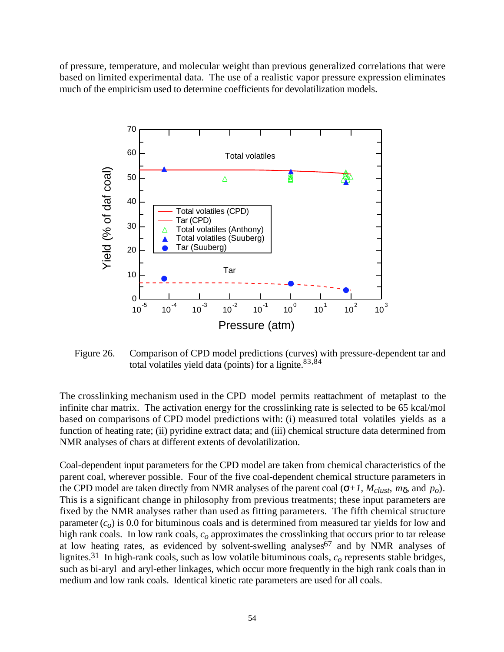of pressure, temperature, and molecular weight than previous generalized correlations that were based on limited experimental data. The use of a realistic vapor pressure expression eliminates much of the empiricism used to determine coefficients for devolatilization models.



Figure 26. Comparison of CPD model predictions (curves) with pressure-dependent tar and total volatiles yield data (points) for a lignite. $83,84$ 

The crosslinking mechanism used in the CPD model permits reattachment of metaplast to the infinite char matrix. The activation energy for the crosslinking rate is selected to be 65 kcal/mol based on comparisons of CPD model predictions with: (i) measured total volatiles yields as a function of heating rate; (ii) pyridine extract data; and (iii) chemical structure data determined from NMR analyses of chars at different extents of devolatilization.

Coal-dependent input parameters for the CPD model are taken from chemical characteristics of the parent coal, wherever possible. Four of the five coal-dependent chemical structure parameters in the CPD model are taken directly from NMR analyses of the parent coal  $(+1, M_{\text{clust}}, m, \text{and } p_o)$ . This is a significant change in philosophy from previous treatments; these input parameters are fixed by the NMR analyses rather than used as fitting parameters. The fifth chemical structure parameter  $(c<sub>o</sub>)$  is 0.0 for bituminous coals and is determined from measured tar yields for low and high rank coals. In low rank coals, *co* approximates the crosslinking that occurs prior to tar release at low heating rates, as evidenced by solvent-swelling analyses<sup>67</sup> and by NMR analyses of lignites.31 In high-rank coals, such as low volatile bituminous coals, *co* represents stable bridges, such as bi-aryl and aryl-ether linkages, which occur more frequently in the high rank coals than in medium and low rank coals. Identical kinetic rate parameters are used for all coals.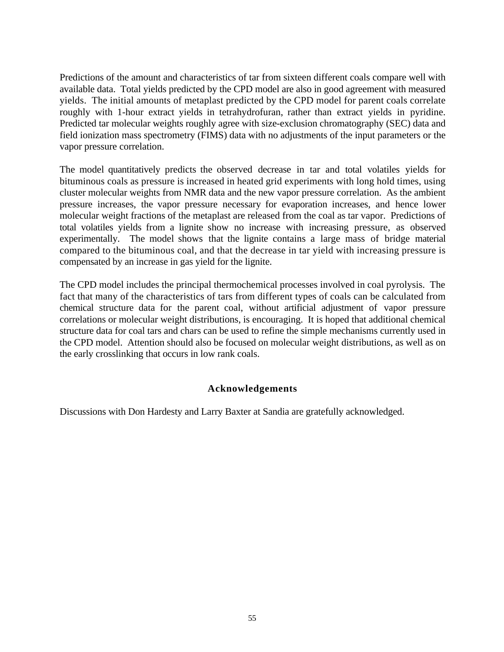Predictions of the amount and characteristics of tar from sixteen different coals compare well with available data. Total yields predicted by the CPD model are also in good agreement with measured yields. The initial amounts of metaplast predicted by the CPD model for parent coals correlate roughly with 1-hour extract yields in tetrahydrofuran, rather than extract yields in pyridine. Predicted tar molecular weights roughly agree with size-exclusion chromatography (SEC) data and field ionization mass spectrometry (FIMS) data with no adjustments of the input parameters or the vapor pressure correlation.

The model quantitatively predicts the observed decrease in tar and total volatiles yields for bituminous coals as pressure is increased in heated grid experiments with long hold times, using cluster molecular weights from NMR data and the new vapor pressure correlation. As the ambient pressure increases, the vapor pressure necessary for evaporation increases, and hence lower molecular weight fractions of the metaplast are released from the coal as tar vapor. Predictions of total volatiles yields from a lignite show no increase with increasing pressure, as observed experimentally. The model shows that the lignite contains a large mass of bridge material compared to the bituminous coal, and that the decrease in tar yield with increasing pressure is compensated by an increase in gas yield for the lignite.

The CPD model includes the principal thermochemical processes involved in coal pyrolysis. The fact that many of the characteristics of tars from different types of coals can be calculated from chemical structure data for the parent coal, without artificial adjustment of vapor pressure correlations or molecular weight distributions, is encouraging. It is hoped that additional chemical structure data for coal tars and chars can be used to refine the simple mechanisms currently used in the CPD model. Attention should also be focused on molecular weight distributions, as well as on the early crosslinking that occurs in low rank coals.

## **Acknowledgements**

Discussions with Don Hardesty and Larry Baxter at Sandia are gratefully acknowledged.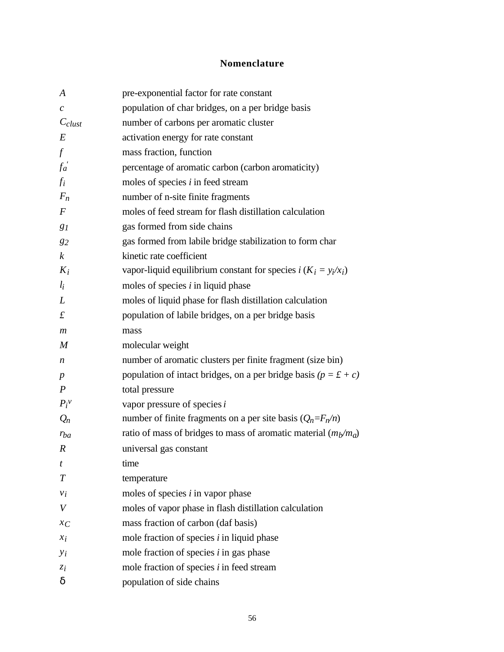# **Nomenclature**

| $\boldsymbol{A}$            | pre-exponential factor for rate constant                                  |
|-----------------------------|---------------------------------------------------------------------------|
| $\mathcal{C}_{\mathcal{C}}$ | population of char bridges, on a per bridge basis                         |
| $C_{\text{clust}}$          | number of carbons per aromatic cluster                                    |
| $E\,$                       | activation energy for rate constant                                       |
| $\int$                      | mass fraction, function                                                   |
| $f_a^{\prime}$              | percentage of aromatic carbon (carbon aromaticity)                        |
| $f_i$                       | moles of species $i$ in feed stream                                       |
| $F_n$                       | number of n-site finite fragments                                         |
| $\boldsymbol{F}$            | moles of feed stream for flash distillation calculation                   |
| 81                          | gas formed from side chains                                               |
| 82                          | gas formed from labile bridge stabilization to form char                  |
| $\boldsymbol{k}$            | kinetic rate coefficient                                                  |
| $K_i$                       | vapor-liquid equilibrium constant for species $i$ ( $K_i = y_i / x_i$ )   |
| $l_i$                       | moles of species $i$ in liquid phase                                      |
| L                           | moles of liquid phase for flash distillation calculation                  |
| $\mathbf f$                 | population of labile bridges, on a per bridge basis                       |
| $\boldsymbol{m}$            | mass                                                                      |
| $\boldsymbol{M}$            | molecular weight                                                          |
| n                           | number of aromatic clusters per finite fragment (size bin)                |
| $\boldsymbol{p}$            | population of intact bridges, on a per bridge basis ( $p = \pounds + c$ ) |
| $\boldsymbol{P}$            | total pressure                                                            |
| $P_i^v$                     | vapor pressure of species $i$                                             |
| $Q_n$                       | number of finite fragments on a per site basis $(Q_n = F_n/n)$            |
| $r_{ba}$                    | ratio of mass of bridges to mass of aromatic material $(m_b/m_a)$         |
| $\boldsymbol{R}$            | universal gas constant                                                    |
| t                           | time                                                                      |
| T                           | temperature                                                               |
| $v_i$                       | moles of species $i$ in vapor phase                                       |
| V                           | moles of vapor phase in flash distillation calculation                    |
| $x_C$                       | mass fraction of carbon (daf basis)                                       |
| $x_i$                       | mole fraction of species $i$ in liquid phase                              |
| $y_i$                       | mole fraction of species $i$ in gas phase                                 |
| $z_i$                       | mole fraction of species $i$ in feed stream                               |
|                             | population of side chains                                                 |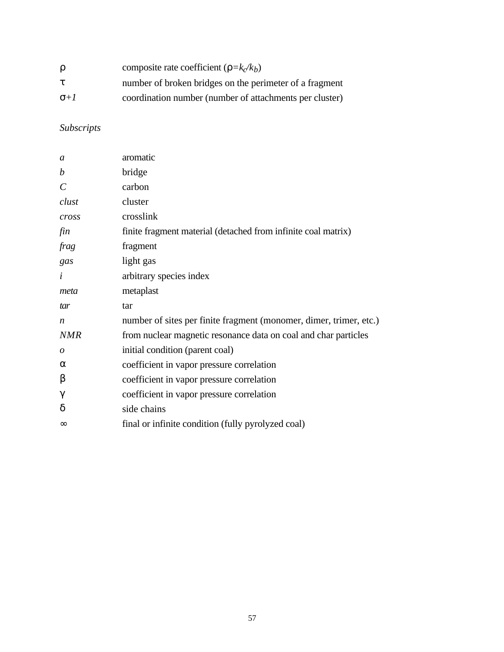|      | composite rate coefficient ( $=k_c/k_b$ )               |
|------|---------------------------------------------------------|
|      | number of broken bridges on the perimeter of a fragment |
| $+1$ | coordination number (number of attachments per cluster) |

# *Subscripts*

| $\mathfrak a$         | aromatic                                                           |
|-----------------------|--------------------------------------------------------------------|
| $\boldsymbol{b}$      | bridge                                                             |
| $\mathcal{C}_{0}^{0}$ | carbon                                                             |
| clust                 | cluster                                                            |
| cross                 | crosslink                                                          |
| fin                   | finite fragment material (detached from infinite coal matrix)      |
| frag                  | fragment                                                           |
| gas                   | light gas                                                          |
| $\dot{i}$             | arbitrary species index                                            |
| meta                  | metaplast                                                          |
| tar                   | tar                                                                |
| n                     | number of sites per finite fragment (monomer, dimer, trimer, etc.) |
| <b>NMR</b>            | from nuclear magnetic resonance data on coal and char particles    |
| 0                     | initial condition (parent coal)                                    |
|                       | coefficient in vapor pressure correlation                          |
|                       | coefficient in vapor pressure correlation                          |
|                       | coefficient in vapor pressure correlation                          |
|                       | side chains                                                        |
|                       | final or infinite condition (fully pyrolyzed coal)                 |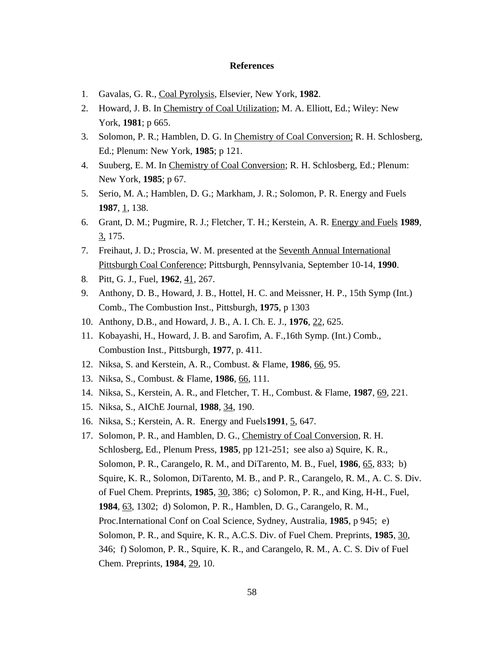#### **References**

- 1. Gavalas, G. R., Coal Pyrolysis, Elsevier, New York, **1982**.
- 2. Howard, J. B. In Chemistry of Coal Utilization; M. A. Elliott, Ed.; Wiley: New York, **1981**; p 665.
- 3. Solomon, P. R.; Hamblen, D. G. In Chemistry of Coal Conversion; R. H. Schlosberg, Ed.; Plenum: New York, **1985**; p 121.
- 4. Suuberg, E. M. In Chemistry of Coal Conversion; R. H. Schlosberg, Ed.; Plenum: New York, **1985**; p 67.
- 5. Serio, M. A.; Hamblen, D. G.; Markham, J. R.; Solomon, P. R. Energy and Fuels **1987**, <u>1</u>, 138.
- 6. Grant, D. M.; Pugmire, R. J.; Fletcher, T. H.; Kerstein, A. R. Energy and Fuels **1989**, 3, 175.
- 7. Freihaut, J. D.; Proscia, W. M. presented at the Seventh Annual International Pittsburgh Coal Conference; Pittsburgh, Pennsylvania, September 10-14, **1990**.
- 8. Pitt, G. J., Fuel, **1962**, 41, 267.
- 9. Anthony, D. B., Howard, J. B., Hottel, H. C. and Meissner, H. P., 15th Symp (Int.) Comb., The Combustion Inst., Pittsburgh, **1975**, p 1303
- 10. Anthony, D.B., and Howard, J. B., A. I. Ch. E. J., **1976**, 22, 625.
- 11. Kobayashi, H., Howard, J. B. and Sarofim, A. F.,16th Symp. (Int.) Comb., Combustion Inst., Pittsburgh, **1977**, p. 411.
- 12. Niksa, S. and Kerstein, A. R., Combust. & Flame, **1986**, 66, 95.
- 13. Niksa, S., Combust. & Flame, **1986**, 66, 111.
- 14. Niksa, S., Kerstein, A. R., and Fletcher, T. H., Combust. & Flame, **1987**, 69, 221.
- 15. Niksa, S., AIChE Journal, **1988**, 34, 190.
- 16. Niksa, S.; Kerstein, A. R. Energy and Fuels**1991**, 5, 647.
- 17. Solomon, P. R., and Hamblen, D. G., Chemistry of Coal Conversion, R. H. Schlosberg, Ed., Plenum Press, **1985**, pp 121-251; see also a) Squire, K. R., Solomon, P. R., Carangelo, R. M., and DiTarento, M. B., Fuel, **1986**, 65, 833; b) Squire, K. R., Solomon, DiTarento, M. B., and P. R., Carangelo, R. M., A. C. S. Div. of Fuel Chem. Preprints, **1985**, 30, 386; c) Solomon, P. R., and King, H-H., Fuel, **1984**, 63, 1302; d) Solomon, P. R., Hamblen, D. G., Carangelo, R. M., Proc.International Conf on Coal Science, Sydney, Australia, **1985**, p 945; e) Solomon, P. R., and Squire, K. R., A.C.S. Div. of Fuel Chem. Preprints, **1985**, 30, 346; f) Solomon, P. R., Squire, K. R., and Carangelo, R. M., A. C. S. Div of Fuel Chem. Preprints, **1984**, 29, 10.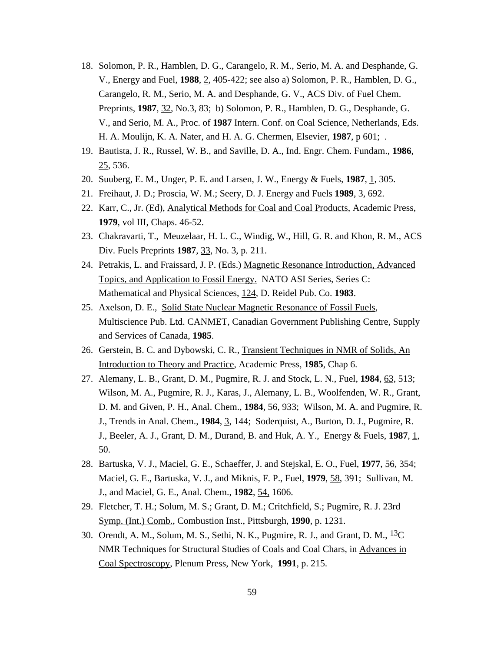- 18. Solomon, P. R., Hamblen, D. G., Carangelo, R. M., Serio, M. A. and Desphande, G. V., Energy and Fuel, **1988**, 2, 405-422; see also a) Solomon, P. R., Hamblen, D. G., Carangelo, R. M., Serio, M. A. and Desphande, G. V., ACS Div. of Fuel Chem. Preprints, **1987**, 32, No.3, 83; b) Solomon, P. R., Hamblen, D. G., Desphande, G. V., and Serio, M. A., Proc. of **1987** Intern. Conf. on Coal Science, Netherlands, Eds. H. A. Moulijn, K. A. Nater, and H. A. G. Chermen, Elsevier, **1987**, p 601; .
- 19. Bautista, J. R., Russel, W. B., and Saville, D. A., Ind. Engr. Chem. Fundam., **1986**, 25, 536.
- 20. Suuberg, E. M., Unger, P. E. and Larsen, J. W., Energy & Fuels, **1987**, 1, 305.
- 21. Freihaut, J. D.; Proscia, W. M.; Seery, D. J. Energy and Fuels **1989**, 3, 692.
- 22. Karr, C., Jr. (Ed), Analytical Methods for Coal and Coal Products, Academic Press, **1979**, vol III, Chaps. 46-52.
- 23. Chakravarti, T., Meuzelaar, H. L. C., Windig, W., Hill, G. R. and Khon, R. M., ACS Div. Fuels Preprints **1987**, 33, No. 3, p. 211.
- 24. Petrakis, L. and Fraissard, J. P. (Eds.) Magnetic Resonance Introduction, Advanced Topics, and Application to Fossil Energy. NATO ASI Series, Series C: Mathematical and Physical Sciences, 124, D. Reidel Pub. Co. **1983**.
- 25. Axelson, D. E., Solid State Nuclear Magnetic Resonance of Fossil Fuels, Multiscience Pub. Ltd. CANMET, Canadian Government Publishing Centre, Supply and Services of Canada, **1985**.
- 26. Gerstein, B. C. and Dybowski, C. R., Transient Techniques in NMR of Solids, An Introduction to Theory and Practice, Academic Press, **1985**, Chap 6.
- 27. Alemany, L. B., Grant, D. M., Pugmire, R. J. and Stock, L. N., Fuel, **1984**, 63, 513; Wilson, M. A., Pugmire, R. J., Karas, J., Alemany, L. B., Woolfenden, W. R., Grant, D. M. and Given, P. H., Anal. Chem., **1984**, 56, 933; Wilson, M. A. and Pugmire, R. J., Trends in Anal. Chem., **1984**, 3, 144; Soderquist, A., Burton, D. J., Pugmire, R. J., Beeler, A. J., Grant, D. M., Durand, B. and Huk, A. Y., Energy & Fuels, **1987**, 1, 50.
- 28. Bartuska, V. J., Maciel, G. E., Schaeffer, J. and Stejskal, E. O., Fuel, **1977**, 56, 354; Maciel, G. E., Bartuska, V. J., and Miknis, F. P., Fuel, **1979**, 58, 391; Sullivan, M. J., and Maciel, G. E., Anal. Chem., **1982**, 54, 1606.
- 29. Fletcher, T. H.; Solum, M. S.; Grant, D. M.; Critchfield, S.; Pugmire, R. J. 23rd Symp. (Int.) Comb., Combustion Inst., Pittsburgh, **1990**, p. 1231.
- 30. Orendt, A. M., Solum, M. S., Sethi, N. K., Pugmire, R. J., and Grant, D. M., 13C NMR Techniques for Structural Studies of Coals and Coal Chars, in Advances in Coal Spectroscopy, Plenum Press, New York, **1991**, p. 215.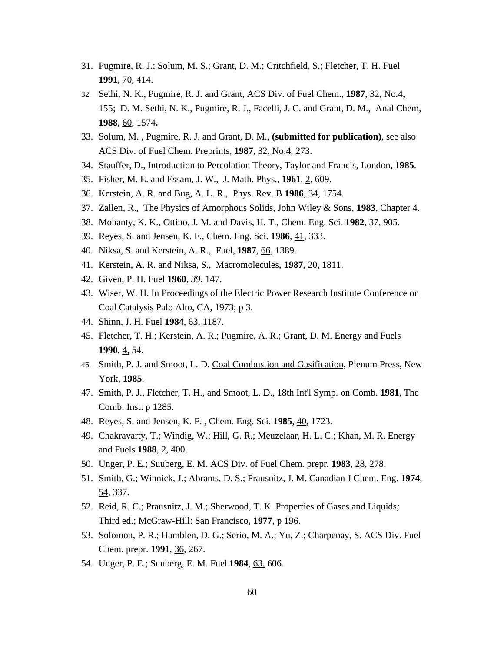- 31. Pugmire, R. J.; Solum, M. S.; Grant, D. M.; Critchfield, S.; Fletcher, T. H. Fuel **1991**, 70, 414.
- 32. Sethi, N. K., Pugmire, R. J. and Grant, ACS Div. of Fuel Chem., **1987**, 32, No.4, 155; D. M. Sethi, N. K., Pugmire, R. J., Facelli, J. C. and Grant, D. M., Anal Chem, **1988**, 60, 1574**.**
- 33. Solum, M. , Pugmire, R. J. and Grant, D. M., **(submitted for publication)**, see also ACS Div. of Fuel Chem. Preprints, **1987**, 32, No.4, 273.
- 34. Stauffer, D., Introduction to Percolation Theory, Taylor and Francis, London, **1985**.
- 35. Fisher, M. E. and Essam, J. W., J. Math. Phys., **1961**, 2, 609.
- 36. Kerstein, A. R. and Bug, A. L. R., Phys. Rev. B **1986**, 34, 1754.
- 37. Zallen, R., The Physics of Amorphous Solids, John Wiley & Sons, **1983**, Chapter 4.
- 38. Mohanty, K. K., Ottino, J. M. and Davis, H. T., Chem. Eng. Sci. **1982**, 37, 905.
- 39. Reyes, S. and Jensen, K. F., Chem. Eng. Sci. **1986**, 41, 333.
- 40. Niksa, S. and Kerstein, A. R., Fuel, **1987**, 66, 1389.
- 41. Kerstein, A. R. and Niksa, S., Macromolecules, **1987**, 20, 1811.
- 42. Given, P. H. Fuel **1960**, *39*, 147.
- 43. Wiser, W. H. In Proceedings of the Electric Power Research Institute Conference on Coal Catalysis Palo Alto, CA, 1973; p 3.
- 44. Shinn, J. H. Fuel **1984**, 63, 1187.
- 45. Fletcher, T. H.; Kerstein, A. R.; Pugmire, A. R.; Grant, D. M. Energy and Fuels **1990**, 4, 54.
- 46. Smith, P. J. and Smoot, L. D. Coal Combustion and Gasification, Plenum Press, New York, **1985**.
- 47. Smith, P. J., Fletcher, T. H., and Smoot, L. D., 18th Int'l Symp. on Comb. **1981**, The Comb. Inst. p 1285.
- 48. Reyes, S. and Jensen, K. F. , Chem. Eng. Sci. **1985**, 40, 1723.
- 49. Chakravarty, T.; Windig, W.; Hill, G. R.; Meuzelaar, H. L. C.; Khan, M. R. Energy and Fuels **1988**, 2, 400.
- 50. Unger, P. E.; Suuberg, E. M. ACS Div. of Fuel Chem. prepr*.* **1983**, 28, 278.
- 51. Smith, G.; Winnick, J.; Abrams, D. S.; Prausnitz, J. M. Canadian J Chem. Eng. **1974**, 54, 337.
- 52. Reid, R. C.; Prausnitz, J. M.; Sherwood, T. K. Properties of Gases and Liquids*;* Third ed.; McGraw-Hill: San Francisco, **1977**, p 196.
- 53. Solomon, P. R.; Hamblen, D. G.; Serio, M. A.; Yu, Z.; Charpenay, S. ACS Div. Fuel Chem. prepr. **1991**, 36, 267.
- 54. Unger, P. E.; Suuberg, E. M. Fuel **1984**, 63, 606.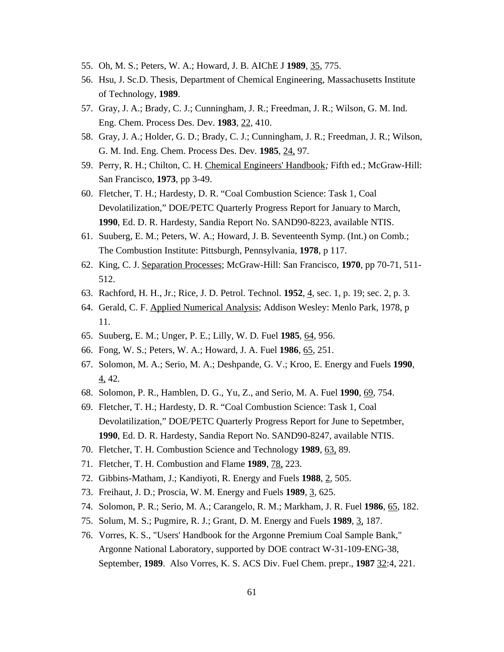- 55. Oh, M. S.; Peters, W. A.; Howard, J. B. AIChE J **1989**, 35, 775.
- 56. Hsu, J. Sc.D. Thesis, Department of Chemical Engineering, Massachusetts Institute of Technology, **1989**.
- 57. Gray, J. A.; Brady, C. J.; Cunningham, J. R.; Freedman, J. R.; Wilson, G. M. Ind. Eng. Chem. Process Des. Dev. **1983**, 22, 410.
- 58. Gray, J. A.; Holder, G. D.; Brady, C. J.; Cunningham, J. R.; Freedman, J. R.; Wilson, G. M. Ind. Eng. Chem. Process Des. Dev*.* **1985**, 24, 97.
- 59. Perry, R. H.; Chilton, C. H. Chemical Engineers' Handbook*;* Fifth ed.; McGraw-Hill: San Francisco, **1973**, pp 3-49.
- 60. Fletcher, T. H.; Hardesty, D. R. "Coal Combustion Science: Task 1, Coal Devolatilization," DOE/PETC Quarterly Progress Report for January to March, **1990**, Ed. D. R. Hardesty, Sandia Report No. SAND90-8223, available NTIS.
- 61. Suuberg, E. M.; Peters, W. A.; Howard, J. B. Seventeenth Symp. (Int.) on Comb*.*; The Combustion Institute: Pittsburgh, Pennsylvania, **1978**, p 117.
- 62. King, C. J. Separation Processes; McGraw-Hill: San Francisco, **1970**, pp 70-71, 511- 512.
- 63. Rachford, H. H., Jr.; Rice, J. D. Petrol. Technol. **1952**, 4, sec. 1, p. 19; sec. 2, p. 3.
- 64. Gerald, C. F. Applied Numerical Analysis; Addison Wesley: Menlo Park, 1978, p 11.
- 65. Suuberg, E. M.; Unger, P. E.; Lilly, W. D. Fuel **1985**, 64, 956.
- 66. Fong, W. S.; Peters, W. A.; Howard, J. A. Fuel **1986**, 65, 251.
- 67. Solomon, M. A.; Serio, M. A.; Deshpande, G. V.; Kroo, E. Energy and Fuels **1990**, 4, 42.
- 68. Solomon, P. R., Hamblen, D. G., Yu, Z., and Serio, M. A. Fuel **1990**, 69, 754.
- 69. Fletcher, T. H.; Hardesty, D. R. "Coal Combustion Science: Task 1, Coal Devolatilization," DOE/PETC Quarterly Progress Report for June to Sepetmber, **1990**, Ed. D. R. Hardesty, Sandia Report No. SAND90-8247, available NTIS.
- 70. Fletcher, T. H. Combustion Science and Technology **1989**, 63, 89.
- 71. Fletcher, T. H. Combustion and Flame **1989**, 78, 223.
- 72. Gibbins-Matham, J.; Kandiyoti, R. Energy and Fuels **1988**, 2, 505.
- 73. Freihaut, J. D.; Proscia, W. M. Energy and Fuels **1989**, 3, 625.
- 74. Solomon, P. R.; Serio, M. A.; Carangelo, R. M.; Markham, J. R. Fuel **1986**, 65, 182.
- 75. Solum, M. S.; Pugmire, R. J.; Grant, D. M. Energy and Fuels **1989**, 3, 187.
- 76. Vorres, K. S., "Users' Handbook for the Argonne Premium Coal Sample Bank," Argonne National Laboratory, supported by DOE contract W-31-109-ENG-38, September, **1989**. Also Vorres, K. S. ACS Div. Fuel Chem. prepr., **1987** 32:4, 221.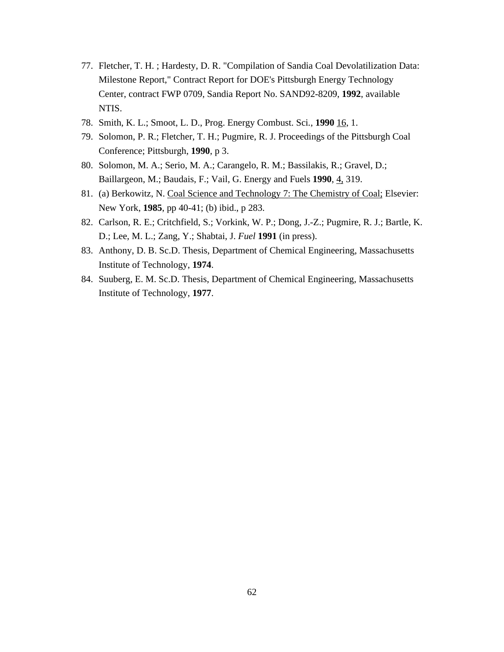- 77. Fletcher, T. H. ; Hardesty, D. R. "Compilation of Sandia Coal Devolatilization Data: Milestone Report," Contract Report for DOE's Pittsburgh Energy Technology Center, contract FWP 0709, Sandia Report No. SAND92-8209, **1992**, available NTIS.
- 78. Smith, K. L.; Smoot, L. D., Prog. Energy Combust. Sci*.*, **1990** 16, 1.
- 79. Solomon, P. R.; Fletcher, T. H.; Pugmire, R. J. Proceedings of the Pittsburgh Coal Conference; Pittsburgh, **1990**, p 3.
- 80. Solomon, M. A.; Serio, M. A.; Carangelo, R. M.; Bassilakis, R.; Gravel, D.; Baillargeon, M.; Baudais, F.; Vail, G. Energy and Fuels **1990**, 4, 319.
- 81. (a) Berkowitz, N. Coal Science and Technology 7: The Chemistry of Coal; Elsevier: New York, **1985**, pp 40-41; (b) ibid., p 283.
- 82. Carlson, R. E.; Critchfield, S.; Vorkink, W. P.; Dong, J.-Z.; Pugmire, R. J.; Bartle, K. D.; Lee, M. L.; Zang, Y.; Shabtai, J. *Fuel* **1991** (in press).
- 83. Anthony, D. B. Sc.D. Thesis, Department of Chemical Engineering, Massachusetts Institute of Technology, **1974**.
- 84. Suuberg, E. M. Sc.D. Thesis, Department of Chemical Engineering, Massachusetts Institute of Technology, **1977**.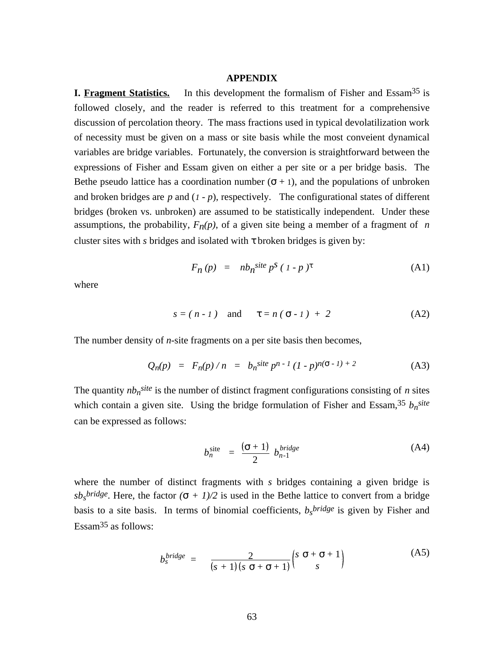#### **APPENDIX**

**I. Fragment Statistics.** In this development the formalism of Fisher and Essam<sup>35</sup> is followed closely, and the reader is referred to this treatment for a comprehensive discussion of percolation theory. The mass fractions used in typical devolatilization work of necessity must be given on a mass or site basis while the most conveient dynamical variables are bridge variables. Fortunately, the conversion is straightforward between the expressions of Fisher and Essam given on either a per site or a per bridge basis. The Bethe pseudo lattice has a coordination number  $( + 1)$ , and the populations of unbroken and broken bridges are  $p$  and  $(1 - p)$ , respectively. The configurational states of different bridges (broken vs. unbroken) are assumed to be statistically independent. Under these assumptions, the probability,  $F_n(p)$ , of a given site being a member of a fragment of *n* cluster sites with *s* bridges and isolated with broken bridges is given by:

$$
F_n(p) = nb_n^{site} p^s (1-p)
$$
 (A1)

where

$$
s = (n-1)
$$
 and  $= n(-1) + 2$  (A2)

The number density of *n*-site fragments on a per site basis then becomes,

$$
Q_n(p) = F_n(p)/n = b_n^{site} p^{n-1} (1-p)^{n(-1)+2}
$$
 (A3)

The quantity  $nb_n^{site}$  is the number of distinct fragment configurations consisting of *n* sites which contain a given site. Using the bridge formulation of Fisher and Essam,<sup>35</sup>  $b_n$ site can be expressed as follows:

$$
b_n^{\text{site}} = \frac{(-1)}{2} b_{n-1}^{\text{bridge}}
$$
 (A4)

where the number of distinct fragments with *s* bridges containing a given bridge is  $s b<sub>s</sub>$ *bridge*. Here, the factor  $( + 1)/2$  is used in the Bethe lattice to convert from a bridge basis to a site basis. In terms of binomial coefficients,  $b_s^{bridge}$  is given by Fisher and Essam<sup>35</sup> as follows:

$$
b_s^{bridge} = \frac{2}{(s+1)(s+1)} \begin{pmatrix} s & + & +1 \\ & s & \end{pmatrix}
$$
 (A5)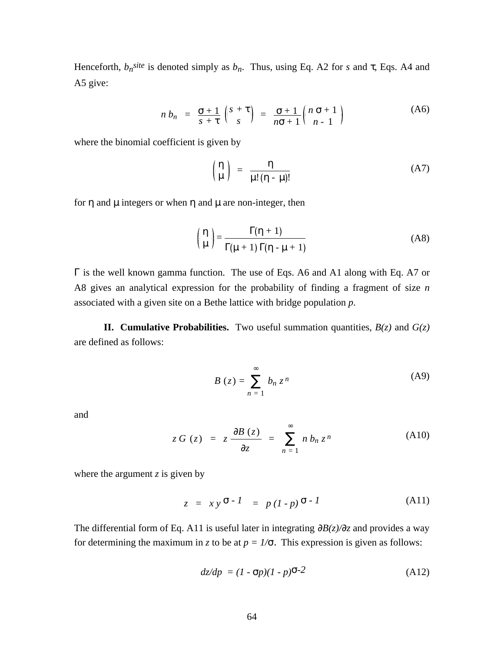Henceforth,  $b_n$ <sup>site</sup> is denoted simply as  $b_n$ . Thus, using Eq. A2 for *s* and , Eqs. A4 and A5 give:

$$
n b_n = \frac{+1}{s+} \begin{pmatrix} s+ \\ s \end{pmatrix} = \frac{+1}{n+1} \begin{pmatrix} n+1 \\ n-1 \end{pmatrix}
$$
 (A6)

where the binomial coefficient is given by

$$
\left(\begin{matrix} \mu \end{matrix}\right) = \frac{}{\mu! (-\mu)!}
$$
 (A7)

for and  $\mu$  integers or when and  $\mu$  are non-integer, then

$$
\begin{pmatrix} \mu \end{pmatrix} = \frac{(-1)^{2}}{(\mu + 1)(-\mu + 1)}
$$
 (A8)

 is the well known gamma function. The use of Eqs. A6 and A1 along with Eq. A7 or A8 gives an analytical expression for the probability of finding a fragment of size *n* associated with a given site on a Bethe lattice with bridge population *p*.

**II. Cumulative Probabilities.** Two useful summation quantities,  $B(z)$  and  $G(z)$ are defined as follows:

$$
B(z) = \int_{n=1}^{z} b_n z^n
$$
 (A9)

and

$$
z G(z) = z \frac{B(z)}{z} = n b_n z^n
$$
 (A10)

where the argument  $\zeta$  is given by

$$
z = xy^{-1} = p(l-p)^{-1}
$$
 (A11)

The differential form of Eq. A11 is useful later in integrating  $B(z)/z$  and provides a way for determining the maximum in *z* to be at  $p = 1/$ . This expression is given as follows:

$$
dz/dp = (1 - p)(1 - p)^{-2}
$$
 (A12)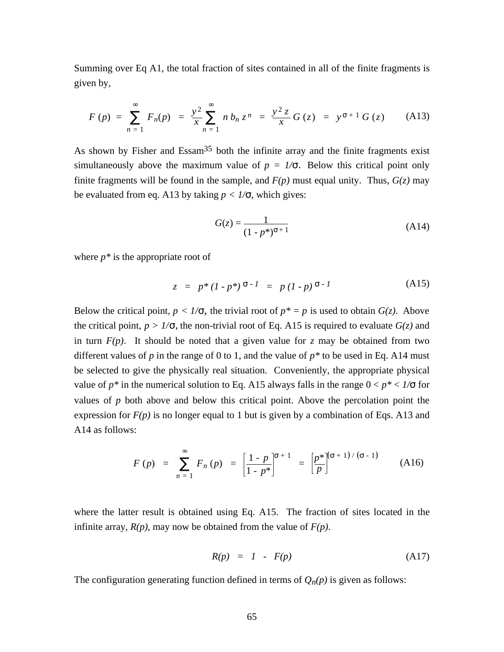Summing over Eq A1, the total fraction of sites contained in all of the finite fragments is given by,

$$
F(p) = F_n(p) = \frac{y^2}{x} n b_n z^n = \frac{y^2 z}{x} G(z) = y + 1 G(z)
$$
 (A13)

As shown by Fisher and Essam<sup>35</sup> both the infinite array and the finite fragments exist simultaneously above the maximum value of  $p = 1/$ . Below this critical point only finite fragments will be found in the sample, and  $F(p)$  must equal unity. Thus,  $G(z)$  may be evaluated from eq. A13 by taking  $p < 1/$ , which gives:

$$
G(z) = \frac{1}{(1 - p^*)^{-1}}
$$
 (A14)

where *p\** is the appropriate root of

$$
z = p^*(I - p^*)^{-1} = p(I - p)^{-1}
$$
 (A15)

Below the critical point,  $p < 1/$ , the trivial root of  $p^* = p$  is used to obtain  $G(z)$ . Above the critical point,  $p > 1/$ , the non-trivial root of Eq. A15 is required to evaluate  $G(z)$  and in turn  $F(p)$ . It should be noted that a given value for *z* may be obtained from two different values of  $p$  in the range of 0 to 1, and the value of  $p^*$  to be used in Eq. A14 must be selected to give the physically real situation. Conveniently, the appropriate physical value of  $p^*$  in the numerical solution to Eq. A15 always falls in the range  $0 < p^* < 1/$  for values of  $p$  both above and below this critical point. Above the percolation point the expression for  $F(p)$  is no longer equal to 1 but is given by a combination of Eqs. A13 and A14 as follows:

$$
F(p) = \int_{n=1}^{n} F_n(p) = \left[\frac{1-p}{1-p^*}\right]^{n+1} = \left[\frac{p^*}{p}\right]^{n+1} \tag{A16}
$$

where the latter result is obtained using Eq. A15. The fraction of sites located in the infinite array,  $R(p)$ , may now be obtained from the value of  $F(p)$ .

$$
R(p) = 1 - F(p) \tag{A17}
$$

The configuration generating function defined in terms of  $Q_n(p)$  is given as follows: